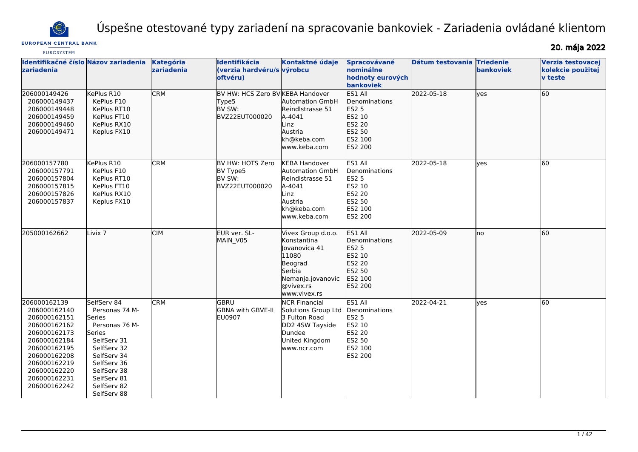

Úspešne otestované typy zariadení na spracovanie bankoviek - Zariadenia ovládané klientom

# **EUROPEAN CENTRAL BANK**

20. mája 2022

| <b>EUROSYSTEM</b>                                                                                                                                                                            |                                                                                                                                                                                             |                         |                                                                       |                                                                                                                                     |                                                                                                            |                  |                                      |                                                          |
|----------------------------------------------------------------------------------------------------------------------------------------------------------------------------------------------|---------------------------------------------------------------------------------------------------------------------------------------------------------------------------------------------|-------------------------|-----------------------------------------------------------------------|-------------------------------------------------------------------------------------------------------------------------------------|------------------------------------------------------------------------------------------------------------|------------------|--------------------------------------|----------------------------------------------------------|
| Identifikačné číslo Názov zariadenia<br>zariadenia                                                                                                                                           |                                                                                                                                                                                             | Kategória<br>zariadenia | Identifikácia<br>(verzia hardvéru/s výrobcu<br>oftvéru)               | Kontaktné údaje                                                                                                                     | Spracovávané<br>nominálne<br>hodnoty eurových<br>bankoviek                                                 | Dátum testovania | <b>Triedenie</b><br><b>bankoviek</b> | Verzia testovacej<br>kolekcie použitej<br><b>v</b> teste |
| 206000149426<br>206000149437<br>206000149448<br>206000149459<br>206000149460<br>206000149471                                                                                                 | KePlus R10<br>KePlus F10<br>KePlus RT10<br>KePlus FT10<br>KePlus RX10<br>Keplus FX10                                                                                                        | <b>CRM</b>              | BV HW: HCS Zero BV KEBA Handover<br>Type5<br>BV SW:<br>BVZ22EUT000020 | <b>Automation GmbH</b><br>Reindlstrasse 51<br>A-4041<br>Linz<br>Austria<br>kh@keba.com<br>www.keba.com                              | ES1 All<br>Denominations<br>ES2 5<br>ES2 10<br>ES2 20<br>ES2 50<br>ES2 100<br>ES2 200                      | 2022-05-18       | yes                                  | 60                                                       |
| 206000157780<br>206000157791<br>206000157804<br>206000157815<br>206000157826<br>206000157837                                                                                                 | KePlus R10<br>KePlus F10<br>KePlus RT10<br>KePlus FT10<br>KePlus RX10<br>Keplus FX10                                                                                                        | CRM                     | BV HW: HOTS Zero<br>BV Type5<br>BV SW:<br>BVZ22EUT000020              | <b>KEBA Handover</b><br><b>Automation GmbH</b><br>Reindlstrasse 51<br>A-4041<br>Linz<br>Austria<br>kh@keba.com<br>lwww.keba.com     | ES1 All<br>Denominations<br><b>ES2 5</b><br>ES2 10<br><b>ES2 20</b><br>ES2 50<br>ES2 100<br><b>ES2 200</b> | 2022-05-18       | lves                                 | <b>60</b>                                                |
| 205000162662                                                                                                                                                                                 | Livix <sub>7</sub>                                                                                                                                                                          | CIM                     | EUR ver. SL-<br>MAIN_V05                                              | Vivex Group d.o.o.<br>Konstantina<br>llovanovica 41<br>11080<br>Beograd<br>Serbia<br>Nemanja.jovanovic<br>@vivex.rs<br>www.vivex.rs | ES1 All<br>Denominations<br>ES2 5<br>ES2 10<br>ES2 20<br>ES2 50<br>ES2 100<br>ES2 200                      | 2022-05-09       | lno                                  | 60                                                       |
| 206000162139<br>206000162140<br>206000162151<br>206000162162<br>206000162173<br>206000162184<br>206000162195<br>206000162208<br>206000162219<br>206000162220<br>206000162231<br>206000162242 | SelfServ 84<br>Personas 74 M-<br>Series<br>Personas 76 M-<br>Series<br>SelfServ 31<br>SelfServ 32<br>SelfServ 34<br>SelfServ 36<br>SelfServ 38<br>SelfServ 81<br>SelfServ 82<br>SelfServ 88 | <b>CRM</b>              | <b>GBRU</b><br><b>GBNA with GBVE-II</b><br><b>EU0907</b>              | <b>NCR Financial</b><br>Solutions Group Ltd<br>3 Fulton Road<br>DD2 4SW Tayside<br>Dundee<br>United Kingdom<br>www.ncr.com          | ES1 All<br>Denominations<br><b>ES2 5</b><br>ES2 10<br><b>ES2 20</b><br>ES2 50<br>ES2 100<br>ES2 200        | 2022-04-21       | lves                                 | 60                                                       |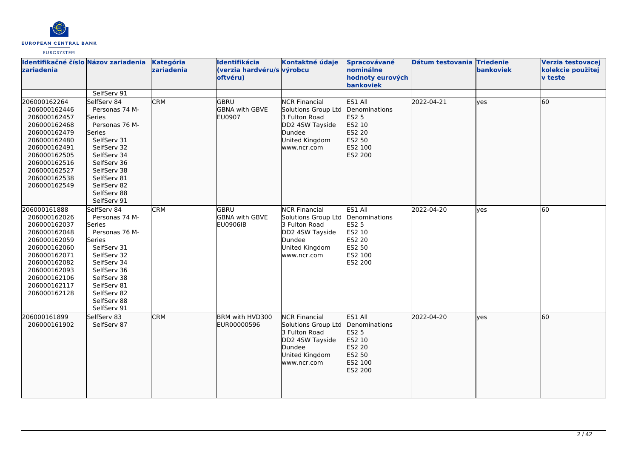

| Identifikačné číslo Názov zariadenia Kategória<br>zariadenia                                                                                                                                 |                                                                                                                                                                                                            | zariadenia | Identifikácia<br>(verzia hardvéru/s výrobcu<br>oftvéru) | Kontaktné údaje                                                                                                                   | Spracovávané<br>nominálne<br>hodnoty eurových<br><b>bankoviek</b>                            | Dátum testovania Triedenie | bankoviek | Verzia testovacej<br>kolekcie použitej<br>v teste |
|----------------------------------------------------------------------------------------------------------------------------------------------------------------------------------------------|------------------------------------------------------------------------------------------------------------------------------------------------------------------------------------------------------------|------------|---------------------------------------------------------|-----------------------------------------------------------------------------------------------------------------------------------|----------------------------------------------------------------------------------------------|----------------------------|-----------|---------------------------------------------------|
|                                                                                                                                                                                              | SelfServ 91                                                                                                                                                                                                |            |                                                         |                                                                                                                                   |                                                                                              |                            |           |                                                   |
| 206000162264<br>206000162446<br>206000162457<br>206000162468<br>206000162479<br>206000162480<br>206000162491<br>206000162505<br>206000162516<br>206000162527<br>206000162538<br>206000162549 | SelfServ 84<br>Personas 74 M-<br>Series<br>Personas 76 M-<br>Series<br>SelfServ 31<br>SelfServ 32<br>SelfServ 34<br>SelfServ 36<br>SelfServ 38<br>SelfServ 81<br>SelfServ 82<br>SelfServ 88<br>SelfServ 91 | <b>CRM</b> | <b>GBRU</b><br><b>GBNA with GBVE</b><br>EU0907          | <b>NCR Financial</b><br><b>Solutions Group Ltd</b><br>3 Fulton Road<br>DD2 4SW Tayside<br>Dundee<br>United Kingdom<br>www.ncr.com | lES1 All<br>Denominations<br>ES2 5<br>ES2 10<br>ES2 20<br>ES2 50<br>ES2 100<br>ES2 200       | 2022-04-21                 | lves      | 60                                                |
| 206000161888<br>206000162026<br>206000162037<br>206000162048<br>206000162059<br>206000162060<br>206000162071<br>206000162082<br>206000162093<br>206000162106<br>206000162117<br>206000162128 | SelfServ 84<br>Personas 74 M-<br>Series<br>Personas 76 M-<br>Series<br>SelfServ 31<br>SelfServ 32<br>SelfServ 34<br>SelfServ 36<br>SelfServ 38<br>SelfServ 81<br>SelfServ 82<br>SelfServ 88<br>SelfServ 91 | <b>CRM</b> | GBRU<br><b>GBNA with GBVE</b><br><b>EU0906IB</b>        | <b>NCR Financial</b><br>Solutions Group Ltd<br>3 Fulton Road<br>DD2 4SW Tayside<br>Dundee<br>United Kingdom<br>www.ncr.com        | ES1 All<br>Denominations<br><b>ES2 5</b><br>ES2 10<br>ES2 20<br>ES2 50<br>ES2 100<br>ES2 200 | 2022-04-20                 | lyes      | 60                                                |
| 206000161899<br>206000161902                                                                                                                                                                 | SelfServ 83<br>SelfServ 87                                                                                                                                                                                 | <b>CRM</b> | BRM with HVD300<br>EUR00000596                          | <b>NCR Financial</b><br>Solutions Group Ltd<br>3 Fulton Road<br>DD2 4SW Tayside<br>Dundee<br>United Kingdom<br>www.ncr.com        | ES1 All<br>Denominations<br>ES2 5<br>ES2 10<br>ES2 20<br>ES2 50<br>ES2 100<br>ES2 200        | 2022-04-20                 | lves      | 60                                                |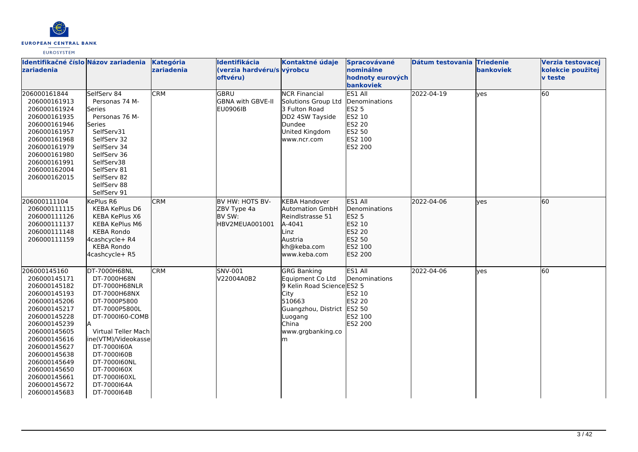

| Identifikačné číslo Názov zariadenia<br>zariadenia                                                                                                                                                                                                                           |                                                                                                                                                                                                                                                                                  | Kategória<br>zariadenia | Identifikácia<br>(verzia hardvéru/s výrobcu<br>oftvéru)    | Kontaktné údaje                                                                                                                                                      | Spracovávané<br>nominálne<br>hodnoty eurových<br>bankoviek                                          | Dátum testovania Triedenie | <b>bankoviek</b> | Verzia testovacej<br>kolekcie použitej<br><b>v</b> teste |
|------------------------------------------------------------------------------------------------------------------------------------------------------------------------------------------------------------------------------------------------------------------------------|----------------------------------------------------------------------------------------------------------------------------------------------------------------------------------------------------------------------------------------------------------------------------------|-------------------------|------------------------------------------------------------|----------------------------------------------------------------------------------------------------------------------------------------------------------------------|-----------------------------------------------------------------------------------------------------|----------------------------|------------------|----------------------------------------------------------|
| 206000161844<br>206000161913<br>206000161924<br>206000161935<br>206000161946<br>206000161957<br>206000161968<br>206000161979<br>206000161980<br>206000161991<br>206000162004<br>206000162015                                                                                 | SelfServ 84<br>Personas 74 M-<br>lSeries<br>Personas 76 M-<br>Series<br>SelfServ31<br>SelfServ 32<br>SelfServ 34<br>SelfServ 36<br>SelfServ38<br>SelfServ 81<br>SelfServ 82<br>SelfServ 88<br>SelfServ 91                                                                        | <b>CRM</b>              | GBRU<br><b>GBNA with GBVE-II</b><br><b>EU0906IB</b>        | <b>NCR Financial</b><br>Solutions Group Ltd<br>3 Fulton Road<br>DD2 4SW Tayside<br>Dundee<br>United Kingdom<br>www.ncr.com                                           | ES1 All<br>Denominations<br>ES2 5<br>ES2 10<br><b>ES2 20</b><br>ES2 50<br>ES2 100<br>ES2 200        | 2022-04-19                 | lves             | 60                                                       |
| 206000111104<br>206000111115<br>206000111126<br>206000111137<br>206000111148<br>206000111159                                                                                                                                                                                 | KePlus R6<br><b>KEBA KePlus D6</b><br>KEBA KePlus X6<br><b>KEBA KePlus M6</b><br><b>KEBA Rondo</b><br>4cashcycle+ R4<br><b>KEBA Rondo</b><br>4cashcycle+ R5                                                                                                                      | <b>CRM</b>              | BV HW: HOTS BV-<br>ZBV Type 4a<br>BV SW:<br>HBV2MEUA001001 | <b>KEBA Handover</b><br><b>Automation GmbH</b><br>Reindlstrasse 51<br>A-4041<br>Linz<br>Austria<br>kh@keba.com<br>www.keba.com                                       | <b>ES1 AII</b><br>Denominations<br><b>ES2 5</b><br>ES2 10<br>ES2 20<br>ES2 50<br>ES2 100<br>ES2 200 | 2022-04-06                 | lves             | 60                                                       |
| 206000145160<br>206000145171<br>206000145182<br>206000145193<br>206000145206<br>206000145217<br>206000145228<br>206000145239<br>206000145605<br>206000145616<br>206000145627<br>206000145638<br>206000145649<br>206000145650<br>206000145661<br>206000145672<br>206000145683 | DT-7000H68NL<br>DT-7000H68N<br>DT-7000H68NLR<br>DT-7000H68NX<br>DT-7000P5800<br>DT-7000P5800L<br>DT-7000160-COMB<br>lA.<br>Virtual Teller Mach<br>ine(VTM)/Videokasse<br>DT-7000160A<br>DT-7000160B<br>DT-7000160NL<br>DT-7000160X<br>DT-7000160XL<br>DT-7000164A<br>DT-7000164B | <b>CRM</b>              | SNV-001<br>V22004A0B2                                      | <b>GRG Banking</b><br>Equipment Co Ltd<br>9 Kelin Road Science ES2 5<br><b>City</b><br>510663<br>Guangzhou, District<br>Luogang<br>China<br>www.grgbanking.co<br>lm. | ES1 All<br>Denominations<br>ES2 10<br><b>ES2 20</b><br>ES2 50<br>ES2 100<br>ES2 200                 | 2022-04-06                 | lves             | 60                                                       |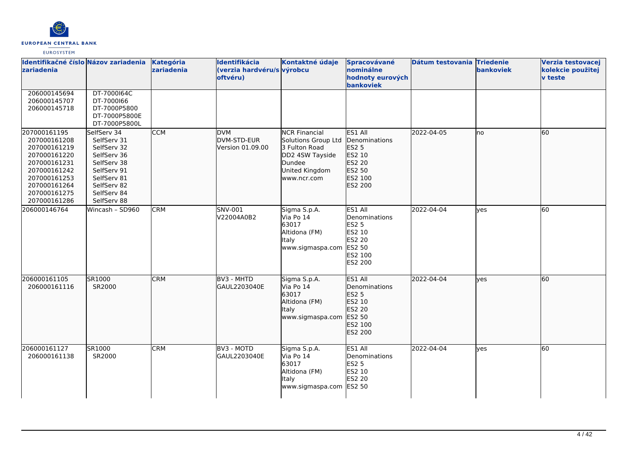

| Identifikačné číslo Názov zariadenia<br>zariadenia                                                                                                           |                                                                                                                                                    | Kategória<br>zariadenia | Identifikácia<br>(verzia hardvéru/s výrobcu<br>oftvéru) | Kontaktné údaje                                                                                                            | Spracovávané<br>nominálne<br>hodnoty eurových<br>bankoviek                                          | Dátum testovania Triedenie | bankoviek | Verzia testovacej<br>kolekcie použitej<br><b>v</b> teste |
|--------------------------------------------------------------------------------------------------------------------------------------------------------------|----------------------------------------------------------------------------------------------------------------------------------------------------|-------------------------|---------------------------------------------------------|----------------------------------------------------------------------------------------------------------------------------|-----------------------------------------------------------------------------------------------------|----------------------------|-----------|----------------------------------------------------------|
| 206000145694<br>206000145707<br>206000145718                                                                                                                 | DT-7000164C<br>DT-7000166<br>DT-7000P5800<br>DT-7000P5800E<br>DT-7000P5800L                                                                        |                         |                                                         |                                                                                                                            |                                                                                                     |                            |           |                                                          |
| 207000161195<br>207000161208<br>207000161219<br>207000161220<br>207000161231<br>207000161242<br>207000161253<br>207000161264<br>207000161275<br>207000161286 | SelfServ 34<br>SelfServ 31<br>SelfServ 32<br>SelfServ 36<br>SelfServ 38<br>SelfServ 91<br>SelfServ 81<br>SelfServ 82<br>SelfServ 84<br>SelfServ 88 | <b>CCM</b>              | <b>DVM</b><br>DVM-STD-EUR<br>Version 01.09.00           | <b>NCR Financial</b><br>Solutions Group Ltd<br>3 Fulton Road<br>DD2 4SW Tayside<br>Dundee<br>United Kingdom<br>www.ncr.com | ES1 All<br>Denominations<br>ES2 5<br>ES2 10<br>ES2 20<br>ES2 50<br>ES2 100<br>ES2 200               | 2022-04-05                 | lno       | 60                                                       |
| 206000146764                                                                                                                                                 | Wincash - SD960                                                                                                                                    | <b>CRM</b>              | SNV-001<br>V22004A0B2                                   | Sigma S.p.A.<br>Via Po 14<br>63017<br>Altidona (FM)<br><b>I</b> taly<br>www.sigmaspa.com                                   | ES1 All<br>Denominations<br><b>ES2 5</b><br>ES2 10<br><b>ES2 20</b><br>ES2 50<br>ES2 100<br>ES2 200 | 2022-04-04                 | yes       | 60                                                       |
| 206000161105<br>206000161116                                                                                                                                 | SR1000<br>SR2000                                                                                                                                   | <b>CRM</b>              | BV3 - MHTD<br>GAUL2203040E                              | Sigma S.p.A.<br>Via Po 14<br>63017<br>Altidona (FM)<br><b>Italy</b><br>www.sigmaspa.com                                    | ES1 All<br>Denominations<br>ES2 5<br>ES2 10<br>ES2 20<br>ES2 50<br>ES2 100<br>ES2 200               | 2022-04-04                 | lyes      | 60                                                       |
| 206000161127<br>206000161138                                                                                                                                 | SR1000<br>SR2000                                                                                                                                   | <b>CRM</b>              | BV3 - MOTD<br>GAUL2203040E                              | Sigma S.p.A.<br>Via Po 14<br>63017<br>Altidona (FM)<br><b>Italy</b><br>www.sigmaspa.com                                    | ES1 All<br>Denominations<br><b>ES2 5</b><br>ES2 10<br><b>ES2 20</b><br>ES2 50                       | 2022-04-04                 | lyes      | 60                                                       |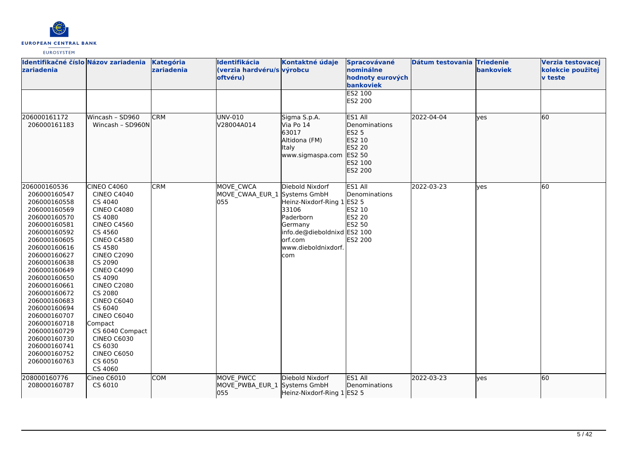

| zariadenia                                                                                                                                                                                                                                                                                                                                                                                   | Identifikačné číslo Názov zariadenia                                                                                                                                                                                                                                                                                                                                                                                 | Kategória<br>zariadenia | Identifikácia<br>(verzia hardvéru/s výrobcu<br>oftvéru) | Kontaktné údaje                                                                                                                                        | Spracovávané<br>nominálne<br>hodnoty eurových<br>bankoviek<br>ES2 100<br>ES2 200      | Dátum testovania Triedenie | bankoviek | Verzia testovacej<br>kolekcie použitej<br>v teste |
|----------------------------------------------------------------------------------------------------------------------------------------------------------------------------------------------------------------------------------------------------------------------------------------------------------------------------------------------------------------------------------------------|----------------------------------------------------------------------------------------------------------------------------------------------------------------------------------------------------------------------------------------------------------------------------------------------------------------------------------------------------------------------------------------------------------------------|-------------------------|---------------------------------------------------------|--------------------------------------------------------------------------------------------------------------------------------------------------------|---------------------------------------------------------------------------------------|----------------------------|-----------|---------------------------------------------------|
| 206000161172<br>206000161183                                                                                                                                                                                                                                                                                                                                                                 | Wincash - SD960<br>Wincash - SD960N                                                                                                                                                                                                                                                                                                                                                                                  | <b>CRM</b>              | UNV-010<br>V28004A014                                   | Sigma S.p.A.<br>Via Po 14<br>63017<br>Altidona (FM)<br>Italy<br>www.sigmaspa.com                                                                       | ES1 All<br>Denominations<br>ES2 5<br>ES2 10<br>ES2 20<br>ES2 50<br>ES2 100<br>ES2 200 | 2022-04-04                 | ves       | 60                                                |
| 206000160536<br>206000160547<br>206000160558<br>206000160569<br>206000160570<br>206000160581<br>206000160592<br>206000160605<br>206000160616<br>206000160627<br>206000160638<br>206000160649<br>206000160650<br>206000160661<br>206000160672<br>206000160683<br>206000160694<br>206000160707<br>206000160718<br>206000160729<br>206000160730<br>206000160741<br>206000160752<br>206000160763 | CINEO C4060<br><b>CINEO C4040</b><br>CS 4040<br><b>CINEO C4080</b><br>CS 4080<br><b>CINEO C4560</b><br>CS 4560<br><b>CINEO C4580</b><br>CS 4580<br><b>CINEO C2090</b><br>CS 2090<br><b>CINEO C4090</b><br>CS 4090<br><b>CINEO C2080</b><br>CS 2080<br><b>CINEO C6040</b><br>CS 6040<br><b>CINEO C6040</b><br>Compact<br>CS 6040 Compact<br><b>CINEO C6030</b><br>CS 6030<br><b>CINEO C6050</b><br>CS 6050<br>CS 4060 | <b>CRM</b>              | MOVE CWCA<br>MOVE_CWAA_EUR_1 Systems GmbH<br>055        | Diebold Nixdorf<br>Heinz-Nixdorf-Ring 1 ES2 5<br>33106<br>Paderborn<br>Germany<br>info.de@dieboldnixd ES2 100<br>orf.com<br>www.dieboldnixdorf.<br>com | ES1 All<br>Denominations<br>ES2 10<br>ES2 20<br>ES2 50<br><b>ES2 200</b>              | 2022-03-23                 | yes       | 60                                                |
| 208000160776<br>208000160787                                                                                                                                                                                                                                                                                                                                                                 | Cineo C6010<br>CS 6010                                                                                                                                                                                                                                                                                                                                                                                               | <b>COM</b>              | MOVE_PWCC<br>MOVE PWBA EUR 1 Systems GmbH<br>055        | Diebold Nixdorf<br>Heinz-Nixdorf-Ring 1 ES2 5                                                                                                          | ES1 All<br>Denominations                                                              | 2022-03-23                 | ves       | 60                                                |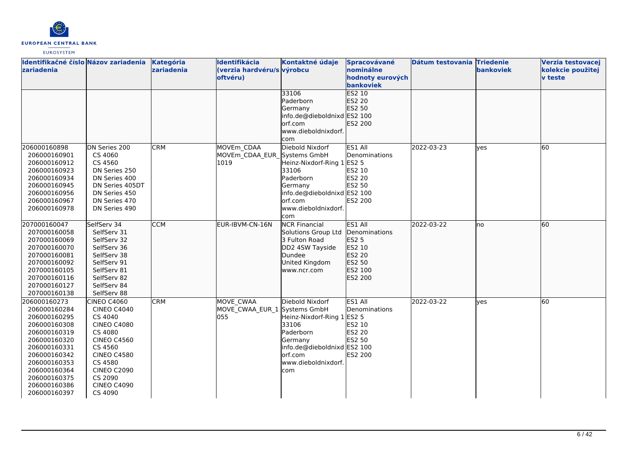

| Identifikačné číslo Názov zariadenia |                    | Kategória  | Identifikácia                | Kontaktné údaje             | Spracovávané     | Dátum testovania Triedenie |                  | Verzia testovacej |
|--------------------------------------|--------------------|------------|------------------------------|-----------------------------|------------------|----------------------------|------------------|-------------------|
| zariadenia                           |                    | zariadenia | (verzia hardvéru/s výrobcu   |                             | nominálne        |                            | <b>bankoviek</b> | kolekcie použitej |
|                                      |                    |            | <b>oftvéru</b> )             |                             | hodnoty eurových |                            |                  | <b>v</b> teste    |
|                                      |                    |            |                              |                             | bankoviek        |                            |                  |                   |
|                                      |                    |            |                              | 33106                       | <b>ES2 10</b>    |                            |                  |                   |
|                                      |                    |            |                              | Paderborn                   | ES2 20           |                            |                  |                   |
|                                      |                    |            |                              | Germany                     | ES2 50           |                            |                  |                   |
|                                      |                    |            |                              | info.de@dieboldnixd ES2 100 |                  |                            |                  |                   |
|                                      |                    |            |                              | orf.com                     | ES2 200          |                            |                  |                   |
|                                      |                    |            |                              | www.dieboldnixdorf.         |                  |                            |                  |                   |
|                                      |                    |            |                              | com                         |                  |                            |                  |                   |
| 206000160898                         | DN Series 200      | <b>CRM</b> | MOVEm CDAA                   | Diebold Nixdorf             | ES1 All          | 2022-03-23                 | ves              | 60                |
| 206000160901                         | CS 4060            |            | MOVEm CDAA EUR Systems GmbH  |                             | Denominations    |                            |                  |                   |
| 206000160912                         | CS 4560            |            | 1019                         | Heinz-Nixdorf-Ring 1 ES2 5  |                  |                            |                  |                   |
| 206000160923                         | DN Series 250      |            |                              | 33106                       | ES2 10           |                            |                  |                   |
| 206000160934                         | DN Series 400      |            |                              | Paderborn                   | ES2 20           |                            |                  |                   |
| 206000160945                         | DN Series 405DT    |            |                              | Germany                     | ES2 50           |                            |                  |                   |
| 206000160956                         | DN Series 450      |            |                              | info.de@dieboldnixd ES2 100 |                  |                            |                  |                   |
| 206000160967                         | DN Series 470      |            |                              | lorf.com                    | <b>ES2 200</b>   |                            |                  |                   |
| 206000160978                         | DN Series 490      |            |                              | www.dieboldnixdorf.         |                  |                            |                  |                   |
|                                      |                    |            |                              | com                         |                  |                            |                  |                   |
| 207000160047                         | SelfServ 34        | <b>CCM</b> | EUR-IBVM-CN-16N              | <b>NCR Financial</b>        | <b>ES1 All</b>   | 2022-03-22                 | no               | 60                |
| 207000160058                         | SelfServ 31        |            |                              | Solutions Group Ltd         | Denominations    |                            |                  |                   |
| 207000160069                         | SelfServ 32        |            |                              | 3 Fulton Road               | ES2 5            |                            |                  |                   |
| 207000160070                         | SelfServ 36        |            |                              | DD2 4SW Tayside             | ES2 10           |                            |                  |                   |
| 207000160081                         | SelfServ 38        |            |                              | Dundee                      | ES2 20           |                            |                  |                   |
| 207000160092                         | SelfServ 91        |            |                              | United Kingdom              | ES2 50           |                            |                  |                   |
| 207000160105                         | SelfServ 81        |            |                              | www.ncr.com                 | ES2 100          |                            |                  |                   |
| 207000160116                         | SelfServ 82        |            |                              |                             | ES2 200          |                            |                  |                   |
| 207000160127                         | SelfServ 84        |            |                              |                             |                  |                            |                  |                   |
| 207000160138                         | SelfServ 88        |            |                              |                             |                  |                            |                  |                   |
| 206000160273                         | <b>CINEO C4060</b> | <b>CRM</b> | MOVE CWAA                    | Diebold Nixdorf             | ES1 All          | 2022-03-22                 | <b>l</b> ves     | 60                |
| 206000160284                         | <b>CINEO C4040</b> |            | MOVE_CWAA_EUR_1 Systems GmbH |                             | Denominations    |                            |                  |                   |
| 206000160295                         | CS 4040            |            | 055                          | Heinz-Nixdorf-Ring 1        | <b>ES2 5</b>     |                            |                  |                   |
| 206000160308                         | <b>CINEO C4080</b> |            |                              | 33106                       | ES2 10           |                            |                  |                   |
| 206000160319                         | CS 4080            |            |                              | Paderborn                   | ES2 20           |                            |                  |                   |
| 206000160320                         | <b>CINEO C4560</b> |            |                              | Germany                     | ES2 50           |                            |                  |                   |
| 206000160331                         | CS 4560            |            |                              | info.de@dieboldnixd ES2 100 |                  |                            |                  |                   |
| 206000160342                         | <b>CINEO C4580</b> |            |                              | lorf.com                    | <b>ES2 200</b>   |                            |                  |                   |
| 206000160353                         | CS 4580            |            |                              | www.dieboldnixdorf.         |                  |                            |                  |                   |
| 206000160364                         | <b>CINEO C2090</b> |            |                              | com                         |                  |                            |                  |                   |
| 206000160375                         | CS 2090            |            |                              |                             |                  |                            |                  |                   |
| 206000160386                         | <b>CINEO C4090</b> |            |                              |                             |                  |                            |                  |                   |
| 206000160397                         | CS 4090            |            |                              |                             |                  |                            |                  |                   |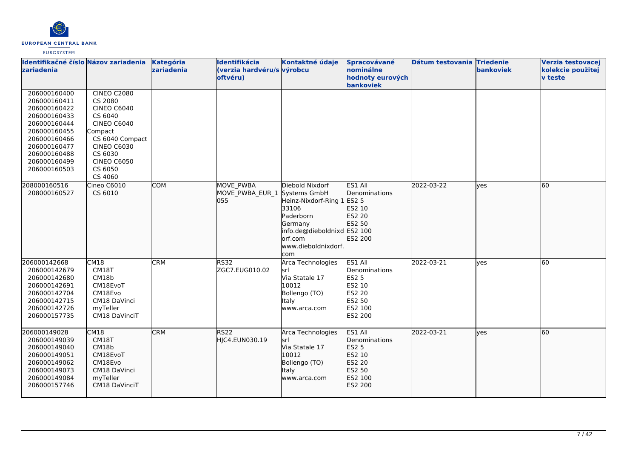

| Identifikačné číslo Názov zariadenia<br>zariadenia                                                                                                                           |                                                                                                                                                                                      | Kategória<br>zariadenia | Identifikácia<br>(verzia hardvéru/s výrobcu<br>oftvéru) | Kontaktné údaje                                                                                                                                  | Spracovávané<br>nominálne<br>hodnoty eurových                                                              | Dátum testovania Triedenie | bankoviek | Verzia testovacej<br>kolekcie použitej<br><b>v</b> teste |
|------------------------------------------------------------------------------------------------------------------------------------------------------------------------------|--------------------------------------------------------------------------------------------------------------------------------------------------------------------------------------|-------------------------|---------------------------------------------------------|--------------------------------------------------------------------------------------------------------------------------------------------------|------------------------------------------------------------------------------------------------------------|----------------------------|-----------|----------------------------------------------------------|
| 206000160400<br>206000160411<br>206000160422<br>206000160433<br>206000160444<br>206000160455<br>206000160466<br>206000160477<br>206000160488<br>206000160499<br>206000160503 | <b>CINEO C2080</b><br>CS 2080<br><b>CINEO C6040</b><br>CS 6040<br><b>CINEO C6040</b><br>Compact<br>CS 6040 Compact<br><b>CINEO C6030</b><br>CS 6030<br><b>CINEO C6050</b><br>CS 6050 |                         |                                                         |                                                                                                                                                  | bankoviek                                                                                                  |                            |           |                                                          |
| 208000160516<br>208000160527                                                                                                                                                 | CS 4060<br>Cineo C6010<br>CS 6010                                                                                                                                                    | <b>COM</b>              | MOVE PWBA<br>MOVE_PWBA_EUR_1 Systems GmbH<br>055        | Diebold Nixdorf<br>Heinz-Nixdorf-Ring 1<br>33106<br>Paderborn<br>Germany<br>info.de@dieboldnixd ES2 100<br>orf.com<br>www.dieboldnixdorf.<br>com | ES1 All<br>Denominations<br><b>ES2 5</b><br>ES2 10<br>ES2 20<br>ES2 50<br>ES2 200                          | 2022-03-22                 | lyes      | 60                                                       |
| 206000142668<br>206000142679<br>206000142680<br>206000142691<br>206000142704<br>206000142715<br>206000142726<br>206000157735                                                 | CM18<br>CM18T<br>CM18b<br>CM18EvoT<br>CM18Evo<br>CM18 DaVinci<br>myTeller<br>CM18 DaVinciT                                                                                           | <b>CRM</b>              | RS32<br>ZGC7.EUG010.02                                  | Arca Technologies<br>srl<br>Via Statale 17<br>10012<br>Bollengo (TO)<br>Italy<br>www.arca.com                                                    | ES1 All<br>Denominations<br><b>ES2 5</b><br>ES2 10<br><b>ES2 20</b><br>ES2 50<br>ES2 100<br><b>ES2 200</b> | 2022-03-21                 | ves       | 60                                                       |
| 206000149028<br>206000149039<br>206000149040<br>206000149051<br>206000149062<br>206000149073<br>206000149084<br>206000157746                                                 | CM18<br>CM18T<br>CM18b<br>CM18EvoT<br>CM18Evo<br>CM18 DaVinci<br>myTeller<br>CM18 DaVinciT                                                                                           | <b>CRM</b>              | RS22<br>HJC4.EUN030.19                                  | Arca Technologies<br>lsrl<br>Via Statale 17<br>10012<br>Bollengo (TO)<br>Italy<br>www.arca.com                                                   | ES1 All<br>Denominations<br>ES2 5<br>ES2 10<br>ES2 20<br>ES2 50<br>ES2 100<br>ES2 200                      | 2022-03-21                 | lyes      | 60                                                       |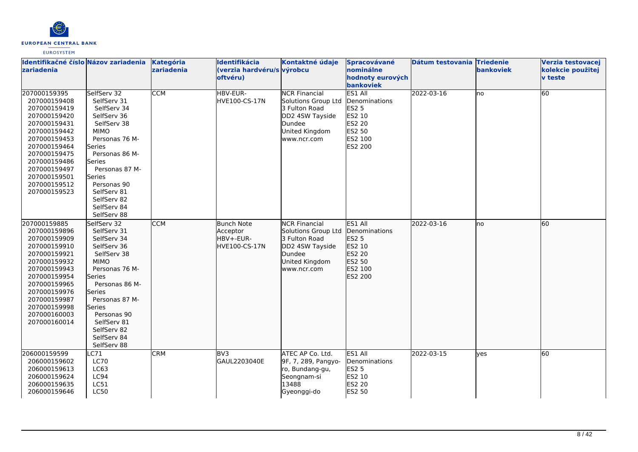

| Identifikačné číslo Názov zariadenia<br>zariadenia                                                                                                                                                                           |                                                                                                                                                                                                                                                                     | Kategória<br>zariadenia | Identifikácia<br>(verzia hardvéru/s výrobcu<br>oftvéru)     | Kontaktné údaje                                                                                                            | Spracovávané<br>nominálne<br>hodnoty eurových<br>bankoviek                                                 | Dátum testovania Triedenie | bankoviek | Verzia testovacej<br>kolekcie použitej<br><b>v</b> teste |
|------------------------------------------------------------------------------------------------------------------------------------------------------------------------------------------------------------------------------|---------------------------------------------------------------------------------------------------------------------------------------------------------------------------------------------------------------------------------------------------------------------|-------------------------|-------------------------------------------------------------|----------------------------------------------------------------------------------------------------------------------------|------------------------------------------------------------------------------------------------------------|----------------------------|-----------|----------------------------------------------------------|
| 207000159395<br>207000159408<br>207000159419<br>207000159420<br>207000159431<br>207000159442<br>207000159453<br>207000159464<br>207000159475<br>207000159486<br>207000159497<br>207000159501<br>207000159512<br>207000159523 | SelfServ 32<br>SelfServ 31<br>SelfServ 34<br>SelfServ 36<br>SelfServ 38<br><b>MIMO</b><br>Personas 76 M-<br>Series<br>Personas 86 M-<br>Series<br>Personas 87 M-<br>Series<br>Personas 90<br>SelfServ 81<br>SelfServ 82<br>SelfServ 84<br>SelfServ 88               | <b>CCM</b>              | HBV-EUR-<br>HVE100-CS-17N                                   | <b>NCR Financial</b><br>Solutions Group Ltd<br>3 Fulton Road<br>DD2 4SW Tayside<br>Dundee<br>United Kingdom<br>www.ncr.com | ES1 All<br>Denominations<br><b>ES2 5</b><br>ES2 10<br><b>ES2 20</b><br>ES2 50<br>ES2 100<br><b>ES2 200</b> | 2022-03-16                 | lno       | 60                                                       |
| 207000159885<br>207000159896<br>207000159909<br>207000159910<br>207000159921<br>207000159932<br>207000159943<br>207000159954<br>207000159965<br>207000159976<br>207000159987<br>207000159998<br>207000160003<br>207000160014 | SelfServ 32<br>SelfServ 31<br>SelfServ 34<br>SelfServ 36<br>SelfServ 38<br><b>MIMO</b><br>Personas 76 M-<br>Series<br>Personas 86 M-<br><b>Series</b><br>Personas 87 M-<br><b>Series</b><br>Personas 90<br>SelfServ 81<br>SelfServ 82<br>SelfServ 84<br>SelfServ 88 | <b>CCM</b>              | Bunch Note<br>Acceptor<br>HBV+-EUR-<br><b>HVE100-CS-17N</b> | <b>NCR Financial</b><br>Solutions Group Ltd<br>3 Fulton Road<br>DD2 4SW Tayside<br>Dundee<br>United Kingdom<br>www.ncr.com | ES1 All<br>Denominations<br><b>ES2 5</b><br>ES2 10<br>ES2 20<br>ES2 50<br>ES2 100<br>ES2 200               | 2022-03-16                 | lno       | 60                                                       |
| 206000159599<br>206000159602<br>206000159613<br>206000159624<br>206000159635<br>206000159646                                                                                                                                 | C71<br><b>LC70</b><br>LC63<br>LC94<br>LC51<br><b>LC50</b>                                                                                                                                                                                                           | <b>CRM</b>              | BV <sub>3</sub><br>GAUL2203040E                             | ATEC AP Co. Ltd.<br>9F, 7, 289, Pangyo-<br>ro, Bundang-gu,<br>Seongnam-si<br>13488<br>Gyeonggi-do                          | ES1 All<br>Denominations<br><b>ES2 5</b><br>ES2 10<br><b>ES2 20</b><br><b>ES2 50</b>                       | 2022-03-15                 | lves      | 60                                                       |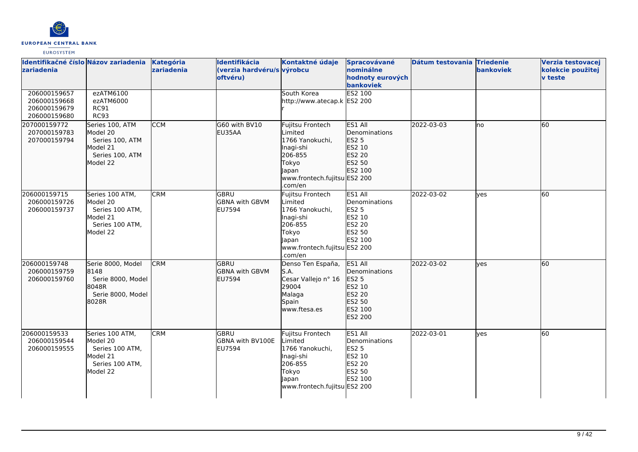

| Identifikačné číslo Názov zariadenia<br>zariadenia           |                                                                                           | Kategória<br>zariadenia | Identifikácia<br>(verzia hardvéru/s výrobcu<br>oftvéru) | Kontaktné údaje                                                                                                                     | Spracovávané<br>nominálne<br>hodnoty eurových<br>bankoviek                                   | Dátum testovania Triedenie | <b>bankoviek</b> | Verzia testovacej<br>kolekcie použitej<br><b>v</b> teste |
|--------------------------------------------------------------|-------------------------------------------------------------------------------------------|-------------------------|---------------------------------------------------------|-------------------------------------------------------------------------------------------------------------------------------------|----------------------------------------------------------------------------------------------|----------------------------|------------------|----------------------------------------------------------|
| 206000159657<br>206000159668<br>206000159679<br>206000159680 | ezATM6100<br>ezATM6000<br>RC91<br><b>RC93</b>                                             |                         |                                                         | South Korea<br>http://www.atecap.k ES2 200                                                                                          | ES2 100                                                                                      |                            |                  |                                                          |
| 207000159772<br>207000159783<br>207000159794                 | Series 100, ATM<br>Model 20<br>Series 100, ATM<br>Model 21<br>Series 100, ATM<br>Model 22 | <b>CCM</b>              | G60 with BV10<br>EU35AA                                 | Fujitsu Frontech<br>Limited<br>1766 Yanokuchi,<br>Inagi-shi<br>206-855<br>Tokyo<br>Japan<br>www.frontech.fujitsu ES2 200<br>.com/en | ES1 All<br>Denominations<br>ES2 5<br>ES2 10<br><b>ES2 20</b><br>ES2 50<br>ES2 100            | 2022-03-03                 | lno              | 60                                                       |
| 206000159715<br>206000159726<br>206000159737                 | Series 100 ATM,<br>Model 20<br>Series 100 ATM,<br>Model 21<br>Series 100 ATM,<br>Model 22 | <b>CRM</b>              | lgbru<br><b>GBNA with GBVM</b><br>EU7594                | Fujitsu Frontech<br>Limited<br>1766 Yanokuchi,<br>Inagi-shi<br>206-855<br>Tokyo<br>Japan<br>www.frontech.fujitsu ES2 200<br>.com/en | ES1 All<br>Denominations<br><b>ES2 5</b><br>ES2 10<br>ES2 20<br><b>ES2 50</b><br>ES2 100     | 2022-03-02                 | ves              | 60                                                       |
| 206000159748<br>206000159759<br>206000159760                 | Serie 8000, Model<br>8148<br>Serie 8000, Model<br>8048R<br>Serie 8000, Model<br>8028R     | <b>CRM</b>              | GBRU<br><b>GBNA with GBVM</b><br><b>EU7594</b>          | Denso Ten España,<br>S.A.<br>Cesar Vallejo nº 16<br>29004<br>Malaga<br>Spain<br>www.ftesa.es                                        | ES1 All<br>Denominations<br><b>ES2 5</b><br>ES2 10<br>ES2 20<br>ES2 50<br>ES2 100<br>ES2 200 | 2022-03-02                 | lves             | 60                                                       |
| 206000159533<br>206000159544<br>206000159555                 | Series 100 ATM,<br>Model 20<br>Series 100 ATM,<br>Model 21<br>Series 100 ATM,<br>Model 22 | <b>CRM</b>              | GBRU<br>GBNA with BV100E<br>EU7594                      | Fujitsu Frontech<br>Limited<br>1766 Yanokuchi,<br>Inagi-shi<br>206-855<br>Tokyo<br>Japan<br>www.frontech.fujitsu ES2 200            | ES1 All<br>Denominations<br><b>ES2 5</b><br>ES2 10<br>ES2 20<br>ES2 50<br>ES2 100            | 2022-03-01                 | lyes             | 60                                                       |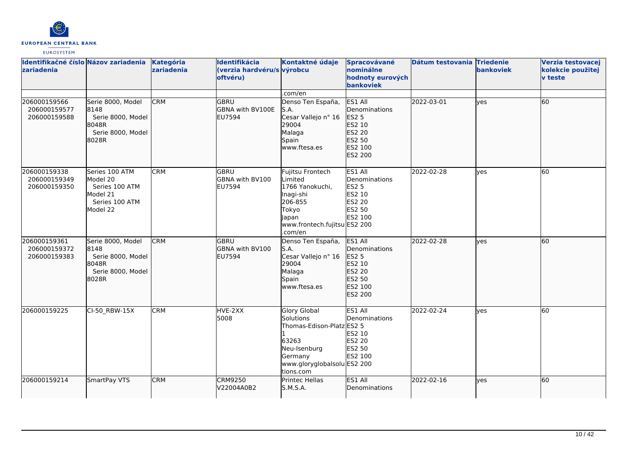

| Identifikačné číslo Názov zariadenia<br>zariadenia |                                                                                        | Kategória<br>zariadenia | Identifikácia<br>(verzia hardvéru/s výrobcu<br>oftvéru) | Kontaktné údaje                                                                                                                                      | Spracovávané<br>nominálne<br>hodnoty eurových<br>bankoviek                            | Dátum testovania Triedenie | bankoviek  | Verzia testovacej<br>kolekcie použitej<br><b>v</b> teste |
|----------------------------------------------------|----------------------------------------------------------------------------------------|-------------------------|---------------------------------------------------------|------------------------------------------------------------------------------------------------------------------------------------------------------|---------------------------------------------------------------------------------------|----------------------------|------------|----------------------------------------------------------|
|                                                    |                                                                                        |                         |                                                         | .com/en                                                                                                                                              |                                                                                       |                            |            |                                                          |
| 206000159566<br>206000159577<br>206000159588       | Serie 8000, Model<br>8148<br>Serie 8000, Model<br>8048R<br>Serie 8000, Model<br>8028R  | <b>CRM</b>              | lgbru<br>GBNA with BV100E<br>EU7594                     | Denso Ten España,<br>S.A.<br>Cesar Vallejo nº 16<br>29004<br>Malaga<br>Spain<br>www.ftesa.es                                                         | ES1 All<br>Denominations<br>ES2 5<br>ES2 10<br>ES2 20<br>ES2 50<br>ES2 100<br>ES2 200 | 2022-03-01                 | lves       | 60                                                       |
| 206000159338<br>206000159349<br>206000159350       | Series 100 ATM<br>Model 20<br>Series 100 ATM<br>Model 21<br>Series 100 ATM<br>Model 22 | <b>CRM</b>              | GBRU<br><b>GBNA with BV100</b><br>EU7594                | Fujitsu Frontech<br>Limited<br>1766 Yanokuchi,<br>Inagi-shi<br>206-855<br>Tokyo<br><b>Japan</b><br>www.frontech.fujitsu ES2 200<br>.com/en           | ES1 All<br>Denominations<br><b>ES2 5</b><br>ES2 10<br>ES2 20<br>ES2 50<br>ES2 100     | 2022-02-28                 | ves        | 60                                                       |
| 206000159361<br>206000159372<br>206000159383       | Serie 8000, Model<br>8148<br>Serie 8000, Model<br>8048R<br>Serie 8000, Model<br>8028R  | <b>CRM</b>              | lgbru<br><b>GBNA with BV100</b><br>EU7594               | Denso Ten España,<br>S.A.<br>Cesar Vallejo nº 16<br>29004<br>Malaga<br>Spain<br>www.ftesa.es                                                         | ES1 All<br>Denominations<br>ES2 5<br>ES2 10<br>ES2 20<br>ES2 50<br>ES2 100<br>ES2 200 | 2022-02-28                 | ves        | 60                                                       |
| 206000159225                                       | CI-50_RBW-15X                                                                          | <b>CRM</b>              | HVE-2XX<br>5008                                         | <b>Glory Global</b><br><b>Solutions</b><br>Thomas-Edison-Platz ES2 5<br>63263<br>Neu-Isenburg<br>Germany<br>www.gloryglobalsolu ES2 200<br>tions.com | ES1 All<br>Denominations<br>ES2 10<br>ES2 20<br>ES2 50<br>ES2 100                     | 2022-02-24                 | yes        | 60                                                       |
| 206000159214                                       | SmartPay VTS                                                                           | <b>CRM</b>              | <b>CRM9250</b><br>V22004A0B2                            | Printec Hellas<br>S.M.S.A.                                                                                                                           | ES1 All<br>Denominations                                                              | 2022-02-16                 | <b>ves</b> | 60                                                       |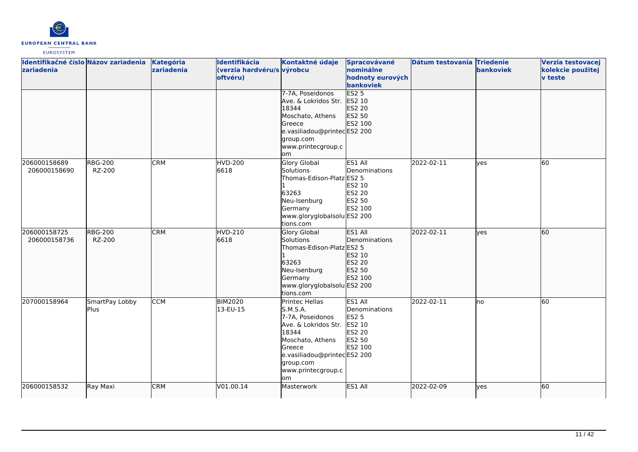

| Identifikačné číslo Názov zariadenia<br>zariadenia |                               | Kategória<br>zariadenia | Identifikácia<br>(verzia hardvéru/s výrobcu<br>oftvéru) | Kontaktné údaje<br>7-7A, Poseidonos<br>Ave. & Lokridos Str.                                                                                                                            | Spracovávané<br>nominálne<br>hodnoty eurových<br>bankoviek<br>ES2 <sub>5</sub><br>ES2 10 | Dátum testovania Triedenie | bankoviek  | Verzia testovacej<br>kolekcie použitej<br><b>v</b> teste |
|----------------------------------------------------|-------------------------------|-------------------------|---------------------------------------------------------|----------------------------------------------------------------------------------------------------------------------------------------------------------------------------------------|------------------------------------------------------------------------------------------|----------------------------|------------|----------------------------------------------------------|
|                                                    |                               |                         |                                                         | 18344<br>Moschato, Athens<br>Greece<br>e.vasiliadou@printecES2 200<br>group.com<br>www.printecgroup.c<br>om                                                                            | ES2 20<br>ES2 50<br>ES2 100                                                              |                            |            |                                                          |
| 206000158689<br>206000158690                       | <b>RBG-200</b><br>RZ-200      | <b>CRM</b>              | <b>HVD-200</b><br>6618                                  | <b>Glory Global</b><br>Solutions<br>Thomas-Edison-Platz ES2 5<br>63263<br>Neu-Isenburg<br>Germany<br>www.gloryglobalsolu ES2 200<br>tions.com                                          | ES1 All<br>Denominations<br>ES2 10<br><b>ES2 20</b><br>ES2 50<br>ES2 100                 | 2022-02-11                 | <b>ves</b> | 60                                                       |
| 206000158725<br>206000158736                       | <b>RBG-200</b><br>RZ-200      | <b>CRM</b>              | <b>HVD-210</b><br>6618                                  | Glory Global<br>Solutions<br>Thomas-Edison-Platz ES2 5<br>63263<br>Neu-Isenburg<br>Germany<br>www.gloryglobalsolu ES2 200<br>tions.com                                                 | ES1 All<br>Denominations<br>ES2 10<br><b>ES2 20</b><br>ES2 50<br>ES2 100                 | 2022-02-11                 | lves       | 60                                                       |
| 207000158964                                       | SmartPay Lobby<br><b>Plus</b> | <b>CCM</b>              | <b>BIM2020</b><br>13-EU-15                              | Printec Hellas<br>S.M.S.A.<br>7-7A, Poseidonos<br>Ave. & Lokridos Str.<br>18344<br>Moschato, Athens<br>Greece<br>e.vasiliadou@printecES2 200<br>group.com<br>www.printecgroup.c<br>lom | ES1 All<br>Denominations<br><b>ES2 5</b><br>ES2 10<br><b>ES2 20</b><br>ES2 50<br>ES2 100 | 2022-02-11                 | Ino        | 60                                                       |
| 206000158532                                       | Ray Maxi                      | <b>CRM</b>              | V01.00.14                                               | Masterwork                                                                                                                                                                             | ES1 All                                                                                  | 2022-02-09                 | lyes       | 60                                                       |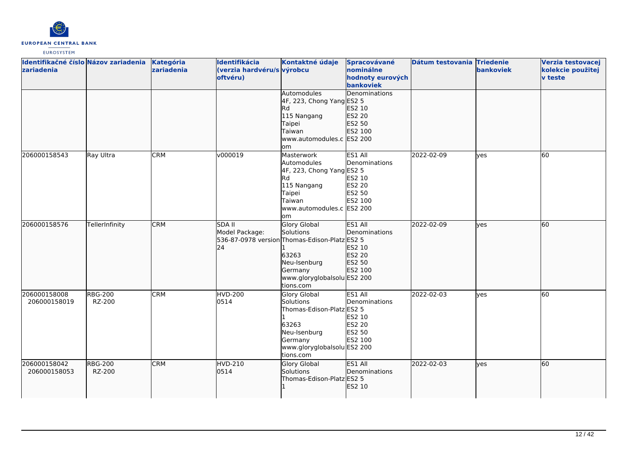

| Identifikačné číslo Názov zariadenia Kategória<br>zariadenia |                          | zariadenia | Identifikácia<br>(verzia hardvéru/s výrobcu<br>oftvéru) | Kontaktné údaje                                                                                                                                            | Spracovávané<br>nominálne<br>hodnoty eurových<br>bankoviek               | Dátum testovania Triedenie | bankoviek | Verzia testovacej<br>kolekcie použitej<br><b>v</b> teste |
|--------------------------------------------------------------|--------------------------|------------|---------------------------------------------------------|------------------------------------------------------------------------------------------------------------------------------------------------------------|--------------------------------------------------------------------------|----------------------------|-----------|----------------------------------------------------------|
|                                                              |                          |            |                                                         | Automodules<br>4F, 223, Chong Yang ES2 5<br>lRd<br>115 Nangang<br>Taipei<br>Taiwan<br>www.automodules.c ES2 200<br>lom                                     | Denominations<br>ES2 10<br>ES2 20<br>ES2 50<br>ES2 100                   |                            |           |                                                          |
| 206000158543                                                 | Ray Ultra                | <b>CRM</b> | v000019                                                 | Masterwork<br>Automodules<br>4F, 223, Chong Yang ES2 5<br><b>Rd</b><br>115 Nangang<br>Taipei<br>Taiwan<br>www.automodules.c ES2 200<br>lom                 | ES1 All<br>Denominations<br>ES2 10<br><b>ES2 20</b><br>ES2 50<br>ES2 100 | 2022-02-09                 | lyes      | 60                                                       |
| 206000158576                                                 | TellerInfinity           | <b>CRM</b> | <b>SDA II</b><br>Model Package:<br>24                   | Glory Global<br>Solutions<br>536-87-0978 version Thomas-Edison-Platz ES2 5<br>63263<br>Neu-Isenburg<br>Germany<br>www.gloryglobalsolu ES2 200<br>tions.com | ES1 All<br>Denominations<br>ES2 10<br>ES2 20<br>ES2 50<br>ES2 100        | 2022-02-09                 | lves      | 60                                                       |
| 206000158008<br>206000158019                                 | <b>RBG-200</b><br>RZ-200 | <b>CRM</b> | <b>HVD-200</b><br>0514                                  | Glory Global<br>Solutions<br>Thomas-Edison-Platz ES2 5<br>63263<br>Neu-Isenburg<br>Germany<br>www.gloryglobalsolu ES2 200<br>tions.com                     | ES1 All<br>Denominations<br>ES2 10<br>ES2 20<br>ES2 50<br>ES2 100        | 2022-02-03                 | ves       | 60                                                       |
| 206000158042<br>206000158053                                 | <b>RBG-200</b><br>RZ-200 | <b>CRM</b> | HVD-210<br>0514                                         | Glory Global<br>Solutions<br>Thomas-Edison-Platz ES2 5                                                                                                     | ES1 All<br>Denominations<br>ES2 10                                       | 2022-02-03                 | lyes      | 60                                                       |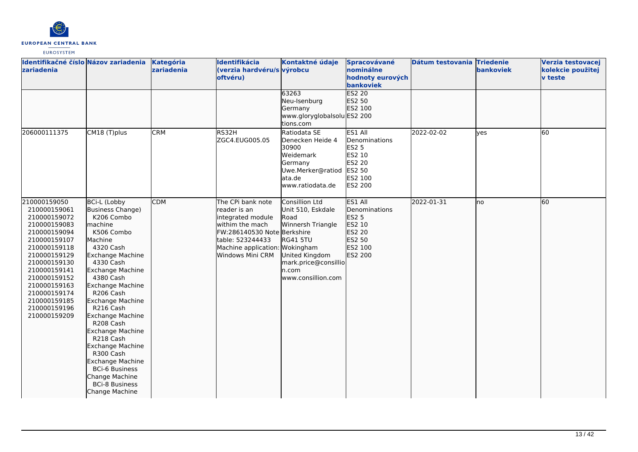

| Identifikačné číslo Názov zariadenia<br>zariadenia                                                                                                                                                                                                           |                                                                                                                                                                                                                                                                                                                                                                                                                                                                 | Kategória<br>zariadenia | Identifikácia<br>(verzia hardvéru/s výrobcu<br>oftvéru)                                                                                                                            | Kontaktné údaje<br>63263<br>Neu-Isenburg<br>Germany<br>www.gloryglobalsolu ES2 200<br>tions.com                                                              | Spracovávané<br>nominálne<br>hodnoty eurových<br>bankoviek<br><b>ES2 20</b><br>ES2 50<br>ES2 100           | Dátum testovania Triedenie | bankoviek | Verzia testovacej<br>kolekcie použitej<br><b>v</b> teste |
|--------------------------------------------------------------------------------------------------------------------------------------------------------------------------------------------------------------------------------------------------------------|-----------------------------------------------------------------------------------------------------------------------------------------------------------------------------------------------------------------------------------------------------------------------------------------------------------------------------------------------------------------------------------------------------------------------------------------------------------------|-------------------------|------------------------------------------------------------------------------------------------------------------------------------------------------------------------------------|--------------------------------------------------------------------------------------------------------------------------------------------------------------|------------------------------------------------------------------------------------------------------------|----------------------------|-----------|----------------------------------------------------------|
| 206000111375                                                                                                                                                                                                                                                 | CM18 (T)plus                                                                                                                                                                                                                                                                                                                                                                                                                                                    | <b>CRM</b>              | RS32H<br>ZGC4.EUG005.05                                                                                                                                                            | Ratiodata SE<br>Denecken Heide 4<br>30900<br>Weidemark<br>Germany<br>Uwe.Merker@ratiod<br>ata.de<br>www.ratiodata.de                                         | ES1 All<br>Denominations<br><b>ES2 5</b><br>ES2 10<br><b>ES2 20</b><br>ES2 50<br>ES2 100<br><b>ES2 200</b> | 2022-02-02                 | lyes      | 60                                                       |
| 210000159050<br>210000159061<br>210000159072<br>210000159083<br>210000159094<br>210000159107<br>210000159118<br>210000159129<br>210000159130<br>210000159141<br>210000159152<br>210000159163<br>210000159174<br>210000159185<br>210000159196<br>210000159209 | <b>BCi-L (Lobby</b><br>Business Change)<br>K206 Combo<br><i>Imachine</i><br>K506 Combo<br>Machine<br>4320 Cash<br>Exchange Machine<br>4330 Cash<br>Exchange Machine<br>4380 Cash<br>Exchange Machine<br>R206 Cash<br>Exchange Machine<br>R216 Cash<br>Exchange Machine<br>R208 Cash<br>Exchange Machine<br>R218 Cash<br>Exchange Machine<br>R300 Cash<br>Exchange Machine<br><b>BCi-6 Business</b><br>Change Machine<br><b>BCi-8 Business</b><br>Change Machine | <b>CDM</b>              | The CPi bank note<br>reader is an<br>integrated module<br>withim the mach<br>FW:286140530 Note Berkshire<br>table: 523244433<br>Machine application: Wokingham<br>Windows Mini CRM | Consillion Ltd<br>Unit 510, Eskdale<br>Road<br>Winnersh Triangle<br><b>RG41 5TU</b><br>United Kingdom<br>mark.price@consillio<br>n.com<br>www.consillion.com | ES1 All<br>Denominations<br>ES2 5<br>ES2 10<br>ES2 20<br>ES2 50<br>ES2 100<br>ES2 200                      | 2022-01-31                 | lno       | 60                                                       |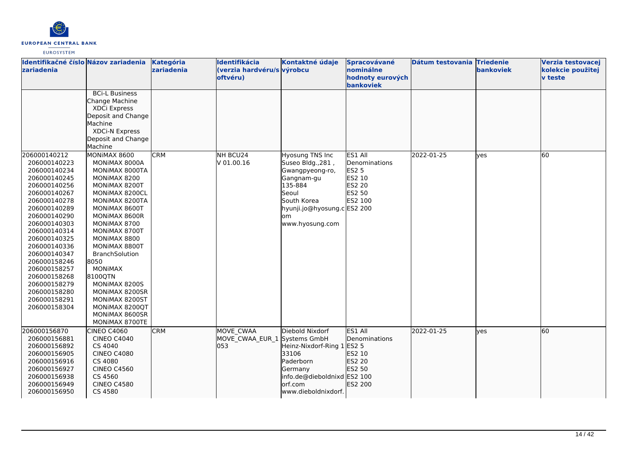

| Identifikačné číslo Názov zariadenia<br>zariadenia                                                                                                                                                                                                                                                                                           |                                                                                                                                                                                                                                                                                                                                                                                                   | Kategória<br>zariadenia | Identifikácia<br>(verzia hardvéru/s výrobcu<br><b>oftvéru</b> ) | Kontaktné údaje                                                                                                                                                   | Spracovávané<br>nominálne<br>hodnoty eurových<br>bankoviek                               | Dátum testovania Triedenie | bankoviek | Verzia testovacej<br>kolekcie použitej<br><b>v</b> teste |
|----------------------------------------------------------------------------------------------------------------------------------------------------------------------------------------------------------------------------------------------------------------------------------------------------------------------------------------------|---------------------------------------------------------------------------------------------------------------------------------------------------------------------------------------------------------------------------------------------------------------------------------------------------------------------------------------------------------------------------------------------------|-------------------------|-----------------------------------------------------------------|-------------------------------------------------------------------------------------------------------------------------------------------------------------------|------------------------------------------------------------------------------------------|----------------------------|-----------|----------------------------------------------------------|
|                                                                                                                                                                                                                                                                                                                                              | <b>BCi-L Business</b><br>Change Machine<br>XDCi Express<br>Deposit and Change<br>Machine<br>XDCi-N Express<br>Deposit and Change<br>Machine                                                                                                                                                                                                                                                       |                         |                                                                 |                                                                                                                                                                   |                                                                                          |                            |           |                                                          |
| 206000140212<br>206000140223<br>206000140234<br>206000140245<br>206000140256<br>206000140267<br>206000140278<br>206000140289<br>206000140290<br>206000140303<br>206000140314<br>206000140325<br>206000140336<br>206000140347<br>206000158246<br>206000158257<br>206000158268<br>206000158279<br>206000158280<br>206000158291<br>206000158304 | MONIMAX 8600<br>MONIMAX 8000A<br>MONIMAX 8000TA<br>MONIMAX 8200<br>MONIMAX 8200T<br>MONIMAX 8200CL<br>MONIMAX 8200TA<br>MONIMAX 8600T<br>MONIMAX 8600R<br>MONIMAX 8700<br>MONIMAX 8700T<br>MONIMAX 8800<br>MONIMAX 8800T<br><b>BranchSolution</b><br>8050<br><b>MONIMAX</b><br>8100QTN<br>MONIMAX 8200S<br>MONIMAX 8200SR<br>MONIMAX 8200ST<br>MONIMAX 8200QT<br>MONIMAX 8600SR<br>MONIMAX 8700TE | <b>CRM</b>              | NH BCU24<br>V 01.00.16                                          | Hyosung TNS Inc<br>Suseo Bldg., 281,<br>Gwangpyeong-ro,<br>Gangnam-gu<br>135-884<br>Seoul<br>South Korea<br>hyunji.jo@hyosung.c ES2 200<br>lom<br>www.hyosung.com | ES1 All<br>Denominations<br><b>ES2 5</b><br>ES2 10<br><b>ES2 20</b><br>ES2 50<br>ES2 100 | 2022-01-25                 | yes       | 60                                                       |
| 206000156870<br>206000156881<br>206000156892<br>206000156905<br>206000156916<br>206000156927<br>206000156938<br>206000156949<br>206000156950                                                                                                                                                                                                 | <b>CINEO C4060</b><br><b>CINEO C4040</b><br>CS 4040<br><b>CINEO C4080</b><br>CS 4080<br><b>CINEO C4560</b><br>CS 4560<br><b>CINEO C4580</b><br>CS 4580                                                                                                                                                                                                                                            | <b>CRM</b>              | <b>MOVE CWAA</b><br>MOVE CWAA EUR 1 Systems GmbH<br>053         | Diebold Nixdorf<br>Heinz-Nixdorf-Ring 1<br>33106<br>Paderborn<br>Germany<br>info.de@dieboldnixd ES2 100<br>orf.com<br>www.dieboldnixdorf.                         | ES1 All<br>Denominations<br><b>ES2 5</b><br>ES2 10<br>ES2 20<br>ES2 50<br>ES2 200        | 2022-01-25                 | lves      | 60                                                       |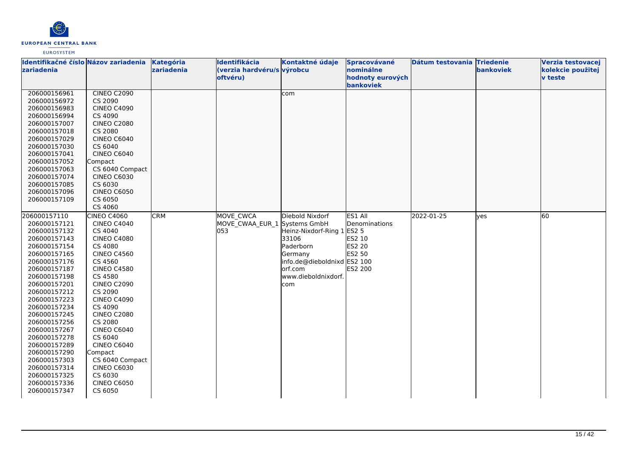

| Identifikačné číslo Názov zariadenia |                    | Kategória  | Identifikácia                | Kontaktné údaje             | Spracovávané                  | Dátum testovania Triedenie |            | Verzia testovacej |
|--------------------------------------|--------------------|------------|------------------------------|-----------------------------|-------------------------------|----------------------------|------------|-------------------|
| zariadenia                           |                    | zariadenia | (verzia hardvéru/s výrobcu   |                             | nominálne                     |                            | bankoviek  | kolekcie použitej |
|                                      |                    |            | oftvéru)                     |                             | hodnoty eurových<br>bankoviek |                            |            | <b>v</b> teste    |
| 206000156961                         | CINEO C2090        |            |                              | com                         |                               |                            |            |                   |
| 206000156972                         | CS 2090            |            |                              |                             |                               |                            |            |                   |
| 206000156983                         | <b>CINEO C4090</b> |            |                              |                             |                               |                            |            |                   |
| 206000156994                         | CS 4090            |            |                              |                             |                               |                            |            |                   |
| 206000157007                         | <b>CINEO C2080</b> |            |                              |                             |                               |                            |            |                   |
| 206000157018                         | CS 2080            |            |                              |                             |                               |                            |            |                   |
| 206000157029                         | <b>CINEO C6040</b> |            |                              |                             |                               |                            |            |                   |
| 206000157030                         | CS 6040            |            |                              |                             |                               |                            |            |                   |
| 206000157041                         | <b>CINEO C6040</b> |            |                              |                             |                               |                            |            |                   |
| 206000157052                         | Compact            |            |                              |                             |                               |                            |            |                   |
| 206000157063                         | CS 6040 Compact    |            |                              |                             |                               |                            |            |                   |
| 206000157074                         | <b>CINEO C6030</b> |            |                              |                             |                               |                            |            |                   |
| 206000157085                         | CS 6030            |            |                              |                             |                               |                            |            |                   |
| 206000157096                         | <b>CINEO C6050</b> |            |                              |                             |                               |                            |            |                   |
| 206000157109                         | CS 6050            |            |                              |                             |                               |                            |            |                   |
|                                      | CS 4060            |            |                              |                             |                               |                            |            |                   |
| 206000157110                         | CINEO C4060        | <b>CRM</b> | <b>MOVE CWCA</b>             | Diebold Nixdorf             | ES1 All                       | 2022-01-25                 | <b>yes</b> | 60                |
| 206000157121                         | <b>CINEO C4040</b> |            | MOVE CWAA EUR 1 Systems GmbH |                             | Denominations                 |                            |            |                   |
| 206000157132                         | CS 4040            |            | 053                          | Heinz-Nixdorf-Ring 1 ES2 5  |                               |                            |            |                   |
| 206000157143                         | <b>CINEO C4080</b> |            |                              | 33106                       | ES2 10                        |                            |            |                   |
| 206000157154                         | CS 4080            |            |                              | Paderborn                   | <b>ES2 20</b>                 |                            |            |                   |
| 206000157165                         | <b>CINEO C4560</b> |            |                              | Germany                     | ES2 50                        |                            |            |                   |
| 206000157176                         | CS 4560            |            |                              | info.de@dieboldnixd ES2 100 |                               |                            |            |                   |
| 206000157187                         | <b>CINEO C4580</b> |            |                              | orf.com                     | <b>ES2 200</b>                |                            |            |                   |
| 206000157198                         | CS 4580            |            |                              | www.dieboldnixdorf.         |                               |                            |            |                   |
| 206000157201                         | <b>CINEO C2090</b> |            |                              | com                         |                               |                            |            |                   |
| 206000157212                         | CS 2090            |            |                              |                             |                               |                            |            |                   |
| 206000157223                         | <b>CINEO C4090</b> |            |                              |                             |                               |                            |            |                   |
| 206000157234                         | CS 4090            |            |                              |                             |                               |                            |            |                   |
| 206000157245                         | <b>CINEO C2080</b> |            |                              |                             |                               |                            |            |                   |
| 206000157256                         | CS 2080            |            |                              |                             |                               |                            |            |                   |
| 206000157267                         | <b>CINEO C6040</b> |            |                              |                             |                               |                            |            |                   |
| 206000157278                         | CS 6040            |            |                              |                             |                               |                            |            |                   |
| 206000157289                         | <b>CINEO C6040</b> |            |                              |                             |                               |                            |            |                   |
| 206000157290                         | Compact            |            |                              |                             |                               |                            |            |                   |
| 206000157303                         | CS 6040 Compact    |            |                              |                             |                               |                            |            |                   |
| 206000157314                         | <b>CINEO C6030</b> |            |                              |                             |                               |                            |            |                   |
| 206000157325                         | CS 6030            |            |                              |                             |                               |                            |            |                   |
| 206000157336                         | <b>CINEO C6050</b> |            |                              |                             |                               |                            |            |                   |
| 206000157347                         | CS 6050            |            |                              |                             |                               |                            |            |                   |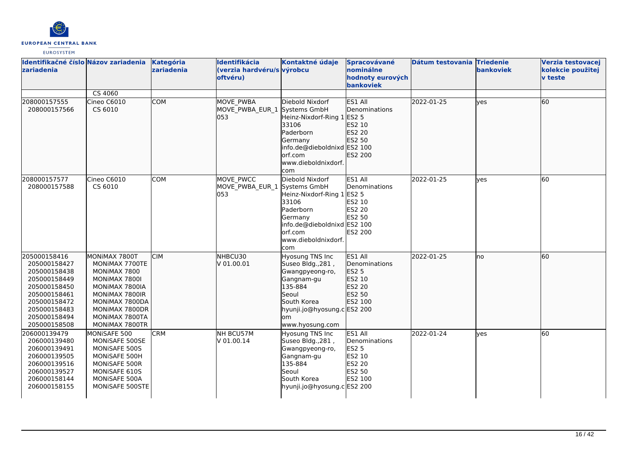

| Identifikačné číslo Názov zariadenia<br>zariadenia                                                                                                           |                                                                                                                                                                              | Kategória<br>zariadenia | Identifikácia<br>(verzia hardvéru/s výrobcu<br>oftvéru) | Kontaktné údaje                                                                                                                                                         | Spracovávané<br>nominálne<br>hodnoty eurových<br>bankoviek                        | Dátum testovania Triedenie | bankoviek   | Verzia testovacej<br>kolekcie použitej<br><b>v</b> teste |
|--------------------------------------------------------------------------------------------------------------------------------------------------------------|------------------------------------------------------------------------------------------------------------------------------------------------------------------------------|-------------------------|---------------------------------------------------------|-------------------------------------------------------------------------------------------------------------------------------------------------------------------------|-----------------------------------------------------------------------------------|----------------------------|-------------|----------------------------------------------------------|
|                                                                                                                                                              | CS 4060                                                                                                                                                                      |                         |                                                         |                                                                                                                                                                         |                                                                                   |                            |             |                                                          |
| 208000157555<br>208000157566                                                                                                                                 | Cineo C6010<br>CS 6010                                                                                                                                                       | <b>COM</b>              | MOVE_PWBA<br>MOVE PWBA EUR 1<br>053                     | Diebold Nixdorf<br>Systems GmbH<br>Heinz-Nixdorf-Ring 1 ES2 5<br>33106<br>Paderborn<br>Germany<br>info.de@dieboldnixd ES2 100<br>lorf.com<br>www.dieboldnixdorf.<br>com | ES1 All<br>Denominations<br>ES2 10<br>ES2 20<br>ES2 50<br>ES2 200                 | 2022-01-25                 | <b>lves</b> | 60                                                       |
| 208000157577<br>208000157588                                                                                                                                 | Cineo C6010<br>CS 6010                                                                                                                                                       | <b>COM</b>              | MOVE PWCC<br>MOVE PWBA EUR 1 Systems GmbH<br>053        | Diebold Nixdorf<br>Heinz-Nixdorf-Ring 1 ES2 5<br>33106<br>Paderborn<br>Germany<br>info.de@dieboldnixd ES2 100<br>orf.com<br>www.dieboldnixdorf.<br>com                  | ES1 All<br>Denominations<br>ES2 10<br><b>ES2 20</b><br>ES2 50<br><b>ES2 200</b>   | 2022-01-25                 | lves        | 60                                                       |
| 205000158416<br>205000158427<br>205000158438<br>205000158449<br>205000158450<br>205000158461<br>205000158472<br>205000158483<br>205000158494<br>205000158508 | MONIMAX 7800T<br>MONIMAX 7700TE<br>MONIMAX 7800<br>MONIMAX 7800I<br>MONIMAX 7800IA<br>MONIMAX 7800IR<br>MONIMAX 7800DA<br>MONIMAX 7800DR<br>MONIMAX 7800TA<br>MONIMAX 7800TR | <b>CIM</b>              | NHBCU30<br>V 01.00.01                                   | Hyosung TNS Inc<br>Suseo Bldg., 281,<br>Gwangpyeong-ro,<br>Gangnam-gu<br>135-884<br>Seoul<br>South Korea<br>hyunji.jo@hyosung.c ES2 200<br>lom<br>www.hyosung.com       | ES1 All<br>Denominations<br>ES2 5<br>ES2 10<br>ES2 20<br>ES2 50<br>ES2 100        | 2022-01-25                 | lno         | 60                                                       |
| 206000139479<br>206000139480<br>206000139491<br>206000139505<br>206000139516<br>206000139527<br>206000158144<br>206000158155                                 | MONISAFE 500<br>MONISAFE 500SE<br>MONISAFE 500S<br>MONISAFE 500H<br>MONISAFE 500R<br>MONISAFE 610S<br>MONISAFE 500A<br>MONISAFE 500STE                                       | <b>CRM</b>              | NH BCU57M<br>V 01.00.14                                 | <b>Hyosung TNS Inc</b><br>Suseo Bldg., 281,<br>Gwangpyeong-ro,<br>Gangnam-gu<br>135-884<br>Seoul<br>South Korea<br>hyunji.jo@hyosung.c ES2 200                          | ES1 All<br>Denominations<br><b>ES2 5</b><br>ES2 10<br>ES2 20<br>ES2 50<br>ES2 100 | 2022-01-24                 | <b>yes</b>  | 60                                                       |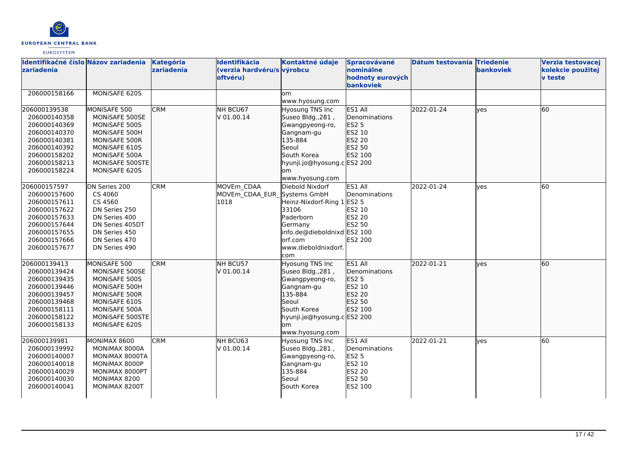

| Identifikačné číslo Názov zariadenia<br>zariadenia                                                                                           |                                                                                                                                                         | <b>Kategória</b><br>zariadenia | Identifikácia<br>(verzia hardvéru/s výrobcu<br>oftvéru) | Kontaktné údaje                                                                                                                                                   | Spracovávané<br>nominálne<br>hodnoty eurových<br>bankoviek                        | Dátum testovania Triedenie | bankoviek  | Verzia testovacej<br>kolekcie použitej<br><b>v</b> teste |
|----------------------------------------------------------------------------------------------------------------------------------------------|---------------------------------------------------------------------------------------------------------------------------------------------------------|--------------------------------|---------------------------------------------------------|-------------------------------------------------------------------------------------------------------------------------------------------------------------------|-----------------------------------------------------------------------------------|----------------------------|------------|----------------------------------------------------------|
| 206000158166                                                                                                                                 | MONISAFE 620S                                                                                                                                           |                                |                                                         | om<br>www.hyosung.com                                                                                                                                             |                                                                                   |                            |            |                                                          |
| 206000139538<br>206000140358<br>206000140369<br>206000140370<br>206000140381<br>206000140392<br>206000158202<br>206000158213<br>206000158224 | MONISAFE 500<br>MONISAFE 500SE<br>MONISAFE 500S<br>MONISAFE 500H<br>MONISAFE 500R<br>MONISAFE 610S<br>MONISAFE 500A<br>MONISAFE 500STE<br>MONISAFE 620S | <b>CRM</b>                     | NH BCU67<br>V 01.00.14                                  | Hyosung TNS Inc<br>Suseo Bldg., 281,<br>Gwangpyeong-ro,<br>Gangnam-gu<br>135-884<br>Seoul<br>South Korea<br>hyunji.jo@hyosung.c ES2 200<br>lom<br>www.hyosung.com | ES1 All<br>Denominations<br>ES2 5<br>ES2 10<br>ES2 20<br>ES2 50<br>ES2 100        | 2022-01-24                 | lyes       | <b>60</b>                                                |
| 206000157597<br>206000157600<br>206000157611<br>206000157622<br>206000157633<br>206000157644<br>206000157655<br>206000157666<br>206000157677 | DN Series 200<br>CS 4060<br>CS 4560<br>DN Series 250<br>DN Series 400<br>DN Series 405DT<br>DN Series 450<br>DN Series 470<br>DN Series 490             | <b>CRM</b>                     | MOVEm CDAA<br>MOVEm CDAA EUR Systems GmbH<br>1018       | Diebold Nixdorf<br>Heinz-Nixdorf-Ring 1 ES2 5<br>33106<br>Paderborn<br>Germany<br>info.de@dieboldnixd ES2 100<br>orf.com<br>www.dieboldnixdorf.<br>com            | ES1 All<br>Denominations<br>ES2 10<br>ES2 20<br>ES2 50<br>ES2 200                 | 2022-01-24                 | yes        | <b>60</b>                                                |
| 206000139413<br>206000139424<br>206000139435<br>206000139446<br>206000139457<br>206000139468<br>206000158111<br>206000158122<br>206000158133 | MONISAFE 500<br>MONISAFE 500SE<br>MONISAFE 500S<br>MONISAFE 500H<br>MONISAFE 500R<br>MONISAFE 610S<br>MONISAFE 500A<br>MONISAFE 500STE<br>MONISAFE 620S | <b>CRM</b>                     | NH BCU57<br>V 01.00.14                                  | Hyosung TNS Inc<br>Suseo Bldg., 281,<br>Gwangpyeong-ro,<br>Gangnam-gu<br>135-884<br>Seoul<br>South Korea<br>hyunji.jo@hyosung.c ES2 200<br>lom<br>www.hyosung.com | ES1 All<br>Denominations<br>ES2 5<br>ES2 10<br>ES2 20<br>ES2 50<br>ES2 100        | 2022-01-21                 | <b>yes</b> | <b>60</b>                                                |
| 206000139981<br>206000139992<br>206000140007<br>206000140018<br>206000140029<br>206000140030<br>206000140041                                 | MONIMAX 8600<br>MONIMAX 8000A<br>MONIMAX 8000TA<br>MONIMAX 8000P<br>MONIMAX 8000PT<br>MONIMAX 8200<br>MONIMAX 8200T                                     | <b>CRM</b>                     | NH BCU63<br>V 01.00.14                                  | Hyosung TNS Inc<br>Suseo Bldg., 281,<br>Gwangpyeong-ro,<br>Gangnam-gu<br>135-884<br>Seoul<br>South Korea                                                          | ES1 All<br>Denominations<br><b>ES2 5</b><br>ES2 10<br>ES2 20<br>ES2 50<br>ES2 100 | 2022-01-21                 | yes        | 60                                                       |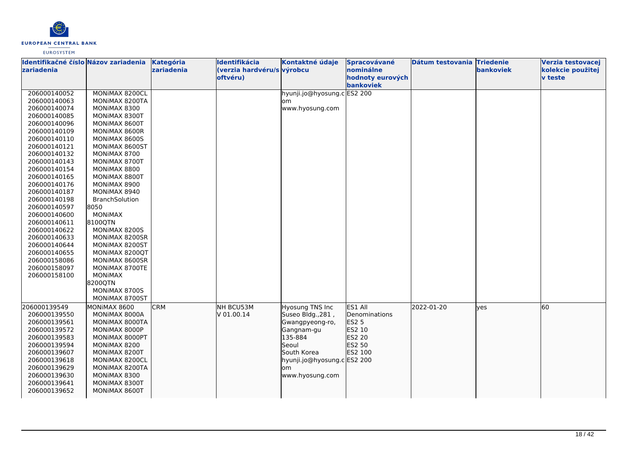

| Identifikačné číslo Názov zariadenia<br>zariadenia |                | Kategória<br>zariadenia | Identifikácia<br>(verzia hardvéru/s výrobcu | Kontaktné údaje             | Spracovávané<br>nominálne     | Dátum testovania Triedenie | bankoviek | Verzia testovacej<br>kolekcie použitej |
|----------------------------------------------------|----------------|-------------------------|---------------------------------------------|-----------------------------|-------------------------------|----------------------------|-----------|----------------------------------------|
|                                                    |                |                         | oftvéru)                                    |                             | hodnoty eurových<br>bankoviek |                            |           | <b>v</b> teste                         |
| 206000140052                                       | MONIMAX 8200CL |                         |                                             | hyunji.jo@hyosung.c ES2 200 |                               |                            |           |                                        |
| 206000140063                                       | MONIMAX 8200TA |                         |                                             | om                          |                               |                            |           |                                        |
| 206000140074                                       | MONIMAX 8300   |                         |                                             | www.hyosung.com             |                               |                            |           |                                        |
| 206000140085                                       | MONIMAX 8300T  |                         |                                             |                             |                               |                            |           |                                        |
| 206000140096                                       | MONIMAX 8600T  |                         |                                             |                             |                               |                            |           |                                        |
| 206000140109                                       | MONIMAX 8600R  |                         |                                             |                             |                               |                            |           |                                        |
| 206000140110                                       | MONIMAX 8600S  |                         |                                             |                             |                               |                            |           |                                        |
| 206000140121                                       | MONIMAX 8600ST |                         |                                             |                             |                               |                            |           |                                        |
| 206000140132                                       | MONIMAX 8700   |                         |                                             |                             |                               |                            |           |                                        |
| 206000140143                                       | MONIMAX 8700T  |                         |                                             |                             |                               |                            |           |                                        |
| 206000140154                                       | MONIMAX 8800   |                         |                                             |                             |                               |                            |           |                                        |
| 206000140165                                       | MONIMAX 8800T  |                         |                                             |                             |                               |                            |           |                                        |
| 206000140176                                       | MONIMAX 8900   |                         |                                             |                             |                               |                            |           |                                        |
| 206000140187                                       | MONIMAX 8940   |                         |                                             |                             |                               |                            |           |                                        |
| 206000140198                                       | BranchSolution |                         |                                             |                             |                               |                            |           |                                        |
| 206000140597                                       | 8050           |                         |                                             |                             |                               |                            |           |                                        |
| 206000140600                                       | <b>MONIMAX</b> |                         |                                             |                             |                               |                            |           |                                        |
| 206000140611                                       | 8100QTN        |                         |                                             |                             |                               |                            |           |                                        |
| 206000140622                                       | MONIMAX 8200S  |                         |                                             |                             |                               |                            |           |                                        |
| 206000140633                                       | MONIMAX 8200SR |                         |                                             |                             |                               |                            |           |                                        |
| 206000140644                                       | MONIMAX 8200ST |                         |                                             |                             |                               |                            |           |                                        |
| 206000140655                                       | MONIMAX 8200QT |                         |                                             |                             |                               |                            |           |                                        |
| 206000158086                                       | MONIMAX 8600SR |                         |                                             |                             |                               |                            |           |                                        |
| 206000158097                                       | MONIMAX 8700TE |                         |                                             |                             |                               |                            |           |                                        |
| 206000158100                                       | <b>MONIMAX</b> |                         |                                             |                             |                               |                            |           |                                        |
|                                                    | 8200QTN        |                         |                                             |                             |                               |                            |           |                                        |
|                                                    | MONIMAX 8700S  |                         |                                             |                             |                               |                            |           |                                        |
|                                                    | MONIMAX 8700ST |                         |                                             |                             |                               |                            |           |                                        |
| 206000139549                                       | MONIMAX 8600   | <b>CRM</b>              | NH BCU53M                                   | <b>Hyosung TNS Inc</b>      | ES1 All                       | 2022-01-20                 | yes       | 60                                     |
| 206000139550                                       | MONIMAX 8000A  |                         | V 01.00.14                                  | Suseo Bldg., 281,           | Denominations                 |                            |           |                                        |
| 206000139561                                       | MONIMAX 8000TA |                         |                                             | Gwangpyeong-ro,             | ES2 5                         |                            |           |                                        |
| 206000139572                                       | MONIMAX 8000P  |                         |                                             | Gangnam-gu                  | ES2 10                        |                            |           |                                        |
| 206000139583                                       | MONIMAX 8000PT |                         |                                             | 135-884                     | ES2 20                        |                            |           |                                        |
| 206000139594                                       | MONIMAX 8200   |                         |                                             | Seoul                       | ES2 50                        |                            |           |                                        |
| 206000139607                                       | MONIMAX 8200T  |                         |                                             | South Korea                 | ES2 100                       |                            |           |                                        |
| 206000139618                                       | MONIMAX 8200CL |                         |                                             | hyunji.jo@hyosung.c ES2 200 |                               |                            |           |                                        |
| 206000139629                                       | MONIMAX 8200TA |                         |                                             | om                          |                               |                            |           |                                        |
| 206000139630                                       | MONIMAX 8300   |                         |                                             | www.hyosung.com             |                               |                            |           |                                        |
| 206000139641                                       | MONIMAX 8300T  |                         |                                             |                             |                               |                            |           |                                        |
| 206000139652                                       | MONIMAX 8600T  |                         |                                             |                             |                               |                            |           |                                        |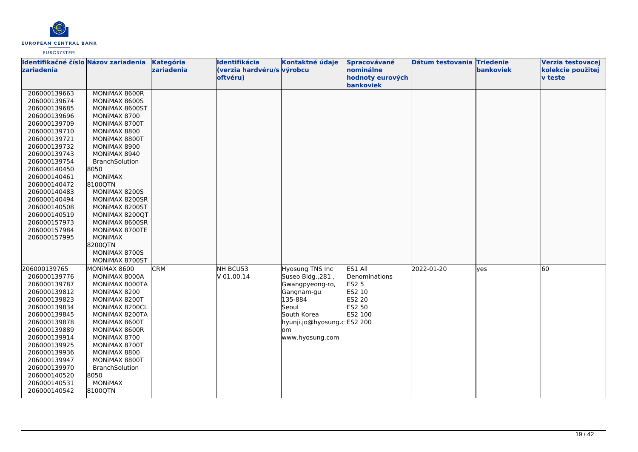

| Identifikačné číslo Názov zariadenia<br>zariadenia |                                  | Kategória<br>zariadenia | <b>Identifikácia</b><br>(verzia hardvéru/s výrobcu | Kontaktné údaje             | Spracovávané<br>nominálne     | Dátum testovania Triedenie | bankoviek | Verzia testovacej<br>kolekcie použitej |
|----------------------------------------------------|----------------------------------|-------------------------|----------------------------------------------------|-----------------------------|-------------------------------|----------------------------|-----------|----------------------------------------|
|                                                    |                                  |                         | oftvéru)                                           |                             | hodnoty eurových<br>bankoviek |                            |           | <b>v</b> teste                         |
| 206000139663                                       | MONIMAX 8600R                    |                         |                                                    |                             |                               |                            |           |                                        |
| 206000139674                                       | MONIMAX 8600S                    |                         |                                                    |                             |                               |                            |           |                                        |
| 206000139685                                       | MONIMAX 8600ST                   |                         |                                                    |                             |                               |                            |           |                                        |
| 206000139696                                       | MONIMAX 8700                     |                         |                                                    |                             |                               |                            |           |                                        |
| 206000139709                                       | MONIMAX 8700T                    |                         |                                                    |                             |                               |                            |           |                                        |
| 206000139710                                       | MONIMAX 8800                     |                         |                                                    |                             |                               |                            |           |                                        |
| 206000139721                                       | MONIMAX 8800T                    |                         |                                                    |                             |                               |                            |           |                                        |
| 206000139732                                       | MONIMAX 8900                     |                         |                                                    |                             |                               |                            |           |                                        |
| 206000139743                                       | MONIMAX 8940                     |                         |                                                    |                             |                               |                            |           |                                        |
| 206000139754                                       | BranchSolution                   |                         |                                                    |                             |                               |                            |           |                                        |
| 206000140450                                       | 8050                             |                         |                                                    |                             |                               |                            |           |                                        |
| 206000140461                                       | <b>MONIMAX</b>                   |                         |                                                    |                             |                               |                            |           |                                        |
| 206000140472                                       | 8100QTN                          |                         |                                                    |                             |                               |                            |           |                                        |
| 206000140483                                       | MONIMAX 8200S                    |                         |                                                    |                             |                               |                            |           |                                        |
| 206000140494                                       | MONIMAX 8200SR                   |                         |                                                    |                             |                               |                            |           |                                        |
| 206000140508                                       | MONIMAX 8200ST                   |                         |                                                    |                             |                               |                            |           |                                        |
| 206000140519                                       | MONIMAX 8200QT                   |                         |                                                    |                             |                               |                            |           |                                        |
| 206000157973                                       | MONIMAX 8600SR                   |                         |                                                    |                             |                               |                            |           |                                        |
| 206000157984                                       | MONIMAX 8700TE<br><b>MONIMAX</b> |                         |                                                    |                             |                               |                            |           |                                        |
| 206000157995                                       | 8200QTN                          |                         |                                                    |                             |                               |                            |           |                                        |
|                                                    | MONIMAX 8700S                    |                         |                                                    |                             |                               |                            |           |                                        |
|                                                    | MONIMAX 8700ST                   |                         |                                                    |                             |                               |                            |           |                                        |
| 206000139765                                       | MONIMAX 8600                     | <b>CRM</b>              | NH BCU53                                           | Hyosung TNS Inc             | ES1 All                       | 2022-01-20                 | lves      | 60                                     |
| 206000139776                                       | MONIMAX 8000A                    |                         | V 01.00.14                                         | Suseo Bldg., 281,           | Denominations                 |                            |           |                                        |
| 206000139787                                       | MONIMAX 8000TA                   |                         |                                                    | Gwangpyeong-ro,             | <b>ES2 5</b>                  |                            |           |                                        |
| 206000139812                                       | MONIMAX 8200                     |                         |                                                    | Gangnam-gu                  | ES2 10                        |                            |           |                                        |
| 206000139823                                       | MONIMAX 8200T                    |                         |                                                    | 135-884                     | ES2 20                        |                            |           |                                        |
| 206000139834                                       | MONIMAX 8200CL                   |                         |                                                    | Seoul                       | ES2 50                        |                            |           |                                        |
| 206000139845                                       | MONIMAX 8200TA                   |                         |                                                    | South Korea                 | ES2 100                       |                            |           |                                        |
| 206000139878                                       | MONIMAX 8600T                    |                         |                                                    | hyunji.jo@hyosung.c ES2 200 |                               |                            |           |                                        |
| 206000139889                                       | MONIMAX 8600R                    |                         |                                                    | lom                         |                               |                            |           |                                        |
| 206000139914                                       | MONIMAX 8700                     |                         |                                                    | www.hyosung.com             |                               |                            |           |                                        |
| 206000139925                                       | MONIMAX 8700T                    |                         |                                                    |                             |                               |                            |           |                                        |
| 206000139936                                       | MONIMAX 8800                     |                         |                                                    |                             |                               |                            |           |                                        |
| 206000139947                                       | MONIMAX 8800T                    |                         |                                                    |                             |                               |                            |           |                                        |
| 206000139970                                       | BranchSolution                   |                         |                                                    |                             |                               |                            |           |                                        |
| 206000140520                                       | 8050                             |                         |                                                    |                             |                               |                            |           |                                        |
| 206000140531                                       | <b>MONIMAX</b>                   |                         |                                                    |                             |                               |                            |           |                                        |
| 206000140542                                       | 8100QTN                          |                         |                                                    |                             |                               |                            |           |                                        |
|                                                    |                                  |                         |                                                    |                             |                               |                            |           |                                        |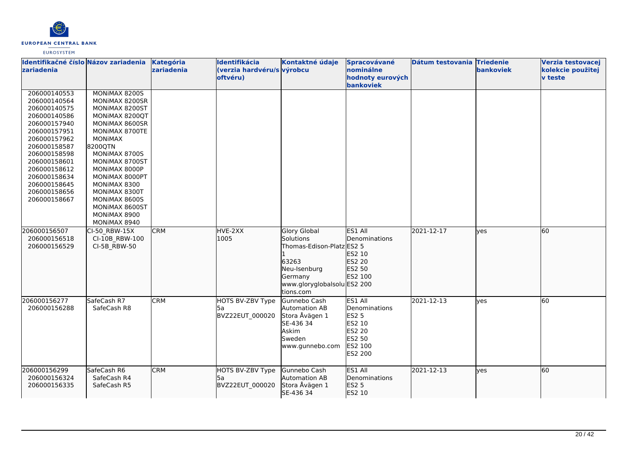

| Identifikačné číslo Názov zariadenia<br>zariadenia                                                                                                                                                                                           |                                                                                                                                                                                                                                                                                                                | Kategória<br>zariadenia | Identifikácia<br>(verzia hardvéru/s výrobcu<br>oftvéru) | Kontaktné údaje                                                                                                                               | Spracovávané<br>nominálne<br>hodnoty eurových<br>bankoviek                                   | Dátum testovania Triedenie | <b>bankoviek</b> | Verzia testovacej<br>kolekcie použitej<br><b>v</b> teste |
|----------------------------------------------------------------------------------------------------------------------------------------------------------------------------------------------------------------------------------------------|----------------------------------------------------------------------------------------------------------------------------------------------------------------------------------------------------------------------------------------------------------------------------------------------------------------|-------------------------|---------------------------------------------------------|-----------------------------------------------------------------------------------------------------------------------------------------------|----------------------------------------------------------------------------------------------|----------------------------|------------------|----------------------------------------------------------|
| 206000140553<br>206000140564<br>206000140575<br>206000140586<br>206000157940<br>206000157951<br>206000157962<br>206000158587<br>206000158598<br>206000158601<br>206000158612<br>206000158634<br>206000158645<br>206000158656<br>206000158667 | MONIMAX 82005<br>MONIMAX 8200SR<br>MONIMAX 8200ST<br>MONIMAX 8200QT<br>MONIMAX 8600SR<br>MONIMAX 8700TE<br><b>MONIMAX</b><br>82000TN<br>MONIMAX 8700S<br>MONIMAX 8700ST<br>MONIMAX 8000P<br>MONIMAX 8000PT<br>MONIMAX 8300<br>MONIMAX 8300T<br>MONIMAX 8600S<br>MONIMAX 8600ST<br>MONIMAX 8900<br>MONIMAX 8940 |                         |                                                         |                                                                                                                                               |                                                                                              |                            |                  |                                                          |
| 206000156507<br>206000156518<br>206000156529                                                                                                                                                                                                 | CI-50 RBW-15X<br>CI-10B RBW-100<br>CI-5B RBW-50                                                                                                                                                                                                                                                                | <b>CRM</b>              | HVE-2XX<br>1005                                         | <b>Glory Global</b><br>Solutions<br>Thomas-Edison-Platz ES2 5<br>63263<br>Neu-Isenburg<br>Germany<br>www.gloryglobalsolu ES2 200<br>tions.com | ES1 All<br>Denominations<br>ES2 10<br>ES2 20<br>ES2 50<br>ES2 100                            | 2021-12-17                 | ves              | 60                                                       |
| 206000156277<br>206000156288                                                                                                                                                                                                                 | SafeCash R7<br>SafeCash R8                                                                                                                                                                                                                                                                                     | <b>CRM</b>              | HOTS BV-ZBV Type<br>l5a<br>BVZ22EUT_000020              | Gunnebo Cash<br>Automation AB<br>Stora Åvägen 1<br>SE-436 34<br>Askim<br>Sweden<br>www.gunnebo.com                                            | ES1 All<br>Denominations<br><b>ES2 5</b><br>ES2 10<br>ES2 20<br>ES2 50<br>ES2 100<br>ES2 200 | 2021-12-13                 | yes              | 60                                                       |
| 206000156299<br>206000156324<br>206000156335                                                                                                                                                                                                 | SafeCash R6<br>SafeCash R4<br>SafeCash R5                                                                                                                                                                                                                                                                      | <b>CRM</b>              | HOTS BV-ZBV Type<br>l5a<br>BVZ22EUT_000020              | Gunnebo Cash<br>Automation AB<br>Stora Åvägen 1<br>SE-436 34                                                                                  | ES1 All<br>Denominations<br>ES2 5<br>ES2 10                                                  | 2021-12-13                 | ves              | 60                                                       |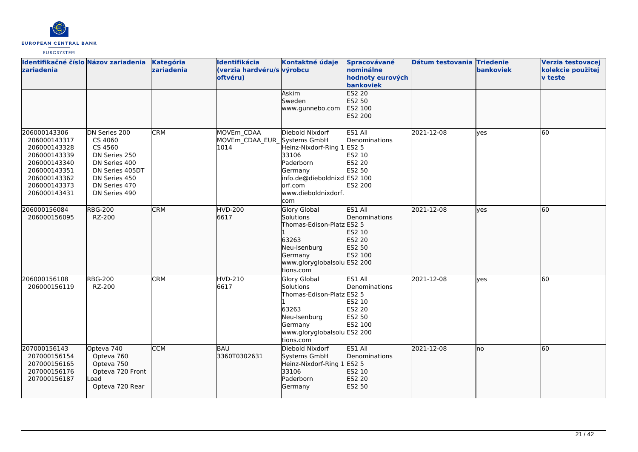

| Identifikačné číslo Názov zariadenia<br>zariadenia                                                                                           |                                                                                                                                             | Kategória<br>zariadenia | Identifikácia<br>(verzia hardvéru/s výrobcu<br>oftvéru) | Kontaktné údaje<br>Askim<br>Sweden<br>www.gunnebo.com                                                                                             | Spracovávané<br>nominálne<br>hodnoty eurových<br>bankoviek<br><b>ES2 20</b><br>ES2 50<br>ES2 100<br>ES2 200 | Dátum testovania Triedenie | bankoviek | Verzia testovacej<br>kolekcie použitej<br><b>v</b> teste |
|----------------------------------------------------------------------------------------------------------------------------------------------|---------------------------------------------------------------------------------------------------------------------------------------------|-------------------------|---------------------------------------------------------|---------------------------------------------------------------------------------------------------------------------------------------------------|-------------------------------------------------------------------------------------------------------------|----------------------------|-----------|----------------------------------------------------------|
| 206000143306<br>206000143317<br>206000143328<br>206000143339<br>206000143340<br>206000143351<br>206000143362<br>206000143373<br>206000143431 | DN Series 200<br>CS 4060<br>CS 4560<br>DN Series 250<br>DN Series 400<br>DN Series 405DT<br>DN Series 450<br>DN Series 470<br>DN Series 490 | <b>CRM</b>              | MOVEm CDAA<br>MOVEm CDAA EUR Systems GmbH<br>1014       | Diebold Nixdorf<br>Heinz-Nixdorf-Ring 1<br>33106<br>Paderborn<br>Germany<br>info.de@dieboldnixd ES2 100<br>orf.com<br>www.dieboldnixdorf.<br>lcom | ES1 All<br>Denominations<br><b>ES2 5</b><br>ES2 10<br><b>ES2 20</b><br>ES2 50<br><b>ES2 200</b>             | 2021-12-08                 | yes       | 60                                                       |
| 206000156084<br>206000156095                                                                                                                 | <b>RBG-200</b><br>RZ-200                                                                                                                    | <b>CRM</b>              | <b>HVD-200</b><br>6617                                  | <b>Glory Global</b><br>Solutions<br>Thomas-Edison-Platz ES2 5<br>63263<br>Neu-Isenburg<br>Germany<br>www.gloryglobalsolu ES2 200<br>tions.com     | ES1 All<br>Denominations<br>ES2 10<br>ES2 20<br>ES2 50<br>ES2 100                                           | 2021-12-08                 | lyes      | 60                                                       |
| 206000156108<br>206000156119                                                                                                                 | <b>RBG-200</b><br>RZ-200                                                                                                                    | <b>CRM</b>              | HVD-210<br>6617                                         | Glory Global<br>Solutions<br>Thomas-Edison-Platz ES2 5<br>63263<br>Neu-Isenburg<br>Germany<br>www.gloryglobalsolu ES2 200<br>tions.com            | ES1 All<br>Denominations<br>ES2 10<br>ES2 20<br>ES2 50<br>ES2 100                                           | 2021-12-08                 | lves      | 60                                                       |
| 207000156143<br>207000156154<br>207000156165<br>207000156176<br>207000156187                                                                 | Opteva 740<br>Opteva 760<br>Opteva 750<br>Opteva 720 Front<br>_oad<br>Opteva 720 Rear                                                       | <b>CCM</b>              | BAU<br>3360T0302631                                     | Diebold Nixdorf<br>Systems GmbH<br>Heinz-Nixdorf-Ring 1<br>33106<br>Paderborn<br>Germany                                                          | ES1 All<br>Denominations<br><b>ES2 5</b><br>ES2 10<br>ES2 20<br>ES2 50                                      | 2021-12-08                 | lno       | 60                                                       |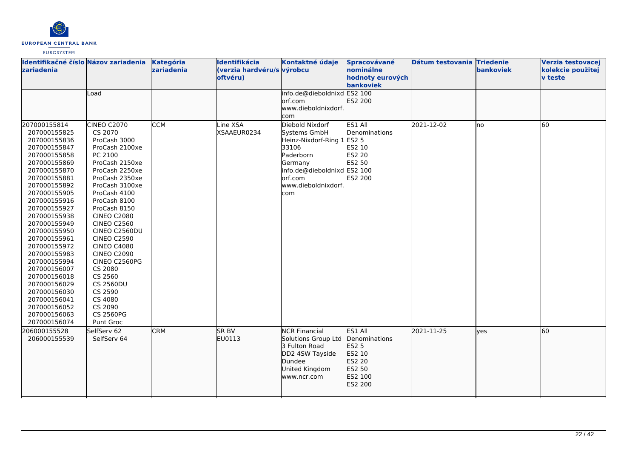

| Identifikačné číslo Názov zariadenia<br>zariadenia                                                                                                                                                                                                                                                                                                                                                                                           |                                                                                                                                                                                                                                                                                                                                                                                                                                                         | <b>Kategória</b><br>zariadenia | Identifikácia<br>(verzia hardvéru/s výrobcu<br>oftvéru) | Kontaktné údaje                                                                                                                                                        | Spracovávané<br>nominálne<br>hodnoty eurových<br>bankoviek                            | Dátum testovania Triedenie | <b>bankoviek</b> | Verzia testovacej<br>kolekcie použitej<br>v teste |
|----------------------------------------------------------------------------------------------------------------------------------------------------------------------------------------------------------------------------------------------------------------------------------------------------------------------------------------------------------------------------------------------------------------------------------------------|---------------------------------------------------------------------------------------------------------------------------------------------------------------------------------------------------------------------------------------------------------------------------------------------------------------------------------------------------------------------------------------------------------------------------------------------------------|--------------------------------|---------------------------------------------------------|------------------------------------------------------------------------------------------------------------------------------------------------------------------------|---------------------------------------------------------------------------------------|----------------------------|------------------|---------------------------------------------------|
|                                                                                                                                                                                                                                                                                                                                                                                                                                              | Load                                                                                                                                                                                                                                                                                                                                                                                                                                                    |                                |                                                         | info.de@dieboldnixd ES2 100<br>lorf.com<br>www.dieboldnixdorf.<br>com                                                                                                  | ES2 200                                                                               |                            |                  |                                                   |
| 207000155814<br>207000155825<br>207000155836<br>207000155847<br>207000155858<br>207000155869<br>207000155870<br>207000155881<br>207000155892<br>207000155905<br>207000155916<br>207000155927<br>207000155938<br>207000155949<br>207000155950<br>207000155961<br>207000155972<br>207000155983<br>207000155994<br>207000156007<br>207000156018<br>207000156029<br>207000156030<br>207000156041<br>207000156052<br>207000156063<br>207000156074 | CINEO C2070<br>CS 2070<br>ProCash 3000<br>ProCash 2100xe<br>PC 2100<br>ProCash 2150xe<br>ProCash 2250xe<br>ProCash 2350xe<br>ProCash 3100xe<br>ProCash 4100<br>ProCash 8100<br>ProCash 8150<br><b>CINEO C2080</b><br><b>CINEO C2560</b><br>CINEO C2560DU<br><b>CINEO C2590</b><br><b>CINEO C4080</b><br><b>CINEO C2090</b><br>CINEO C2560PG<br>CS 2080<br>CS 2560<br><b>CS 2560DU</b><br>CS 2590<br>CS 4080<br>CS 2090<br><b>CS 2560PG</b><br>Punt Groc | <b>CCM</b>                     | Line XSA<br>XSAAEUR0234                                 | Diebold Nixdorf<br>Systems GmbH<br>Heinz-Nixdorf-Ring 1 ES2 5<br>33106<br>Paderborn<br>Germany<br>info.de@dieboldnixd ES2 100<br>orf.com<br>www.dieboldnixdorf.<br>com | ES1 All<br>Denominations<br>ES2 10<br><b>ES2 20</b><br>ES2 50<br>ES2 200              | 2021-12-02                 | Ino              | 60                                                |
| 206000155528<br>206000155539                                                                                                                                                                                                                                                                                                                                                                                                                 | SelfServ 62<br>SelfServ 64                                                                                                                                                                                                                                                                                                                                                                                                                              | <b>CRM</b>                     | <b>SR BV</b><br>EU0113                                  | <b>NCR Financial</b><br>Solutions Group Ltd<br>3 Fulton Road<br>DD2 4SW Tayside<br>Dundee<br>United Kingdom<br>www.ncr.com                                             | ES1 All<br>Denominations<br>ES2 5<br>ES2 10<br>ES2 20<br>ES2 50<br>ES2 100<br>ES2 200 | 2021-11-25                 | lves             | 60                                                |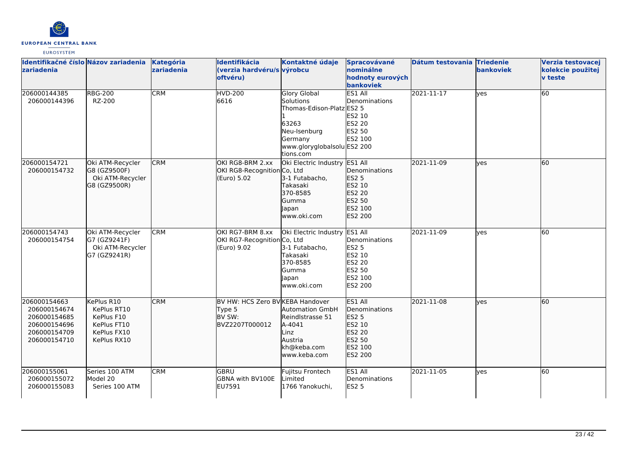

| Identifikačné číslo Názov zariadenia<br>zariadenia                                           |                                                                                      | Kategória<br>zariadenia | Identifikácia<br>(verzia hardvéru/s výrobcu<br>oftvéru)                | Kontaktné údaje                                                                                                                               | Spracovávané<br>nominálne<br>hodnoty eurových<br><b>bankoviek</b>                     | Dátum testovania Triedenie | <b>bankoviek</b> | Verzia testovacej<br>kolekcie použitej<br><b>v</b> teste |
|----------------------------------------------------------------------------------------------|--------------------------------------------------------------------------------------|-------------------------|------------------------------------------------------------------------|-----------------------------------------------------------------------------------------------------------------------------------------------|---------------------------------------------------------------------------------------|----------------------------|------------------|----------------------------------------------------------|
| 206000144385<br>206000144396                                                                 | <b>RBG-200</b><br>RZ-200                                                             | <b>CRM</b>              | <b>HVD-200</b><br>6616                                                 | <b>Glory Global</b><br>Solutions<br>Thomas-Edison-Platz ES2 5<br>63263<br>Neu-Isenburg<br>Germany<br>www.gloryglobalsolu ES2 200<br>tions.com | ES1 All<br>Denominations<br>ES2 10<br>ES2 20<br>ES2 50<br>ES2 100                     | 2021-11-17                 | lyes             | 60                                                       |
| 206000154721<br>206000154732                                                                 | Oki ATM-Recycler<br>G8 (GZ9500F)<br>Oki ATM-Recycler<br>G8 (GZ9500R)                 | <b>CRM</b>              | OKI RG8-BRM 2.xx<br>OKI RG8-Recognition Co, Ltd<br>(Euro) 5.02         | Oki Electric Industry ES1 All<br>3-1 Futabacho,<br>Takasaki<br>370-8585<br>Gumma<br>lapan<br>www.oki.com                                      | Denominations<br>ES2 5<br>ES2 10<br>ES2 20<br>ES2 50<br>ES2 100<br>ES2 200            | 2021-11-09                 | lves             | 60                                                       |
| 206000154743<br>206000154754                                                                 | Oki ATM-Recycler<br>G7 (GZ9241F)<br>Oki ATM-Recycler<br>G7 (GZ9241R)                 | <b>CRM</b>              | OKI RG7-BRM 8.xx<br>OKI RG7-Recognition Co, Ltd<br>(Euro) 9.02         | Oki Electric Industry<br>3-1 Futabacho,<br>Takasaki<br>370-8585<br>Gumma<br>Japan<br>www.oki.com                                              | ES1 All<br>Denominations<br>ES2 5<br>ES2 10<br>ES2 20<br>ES2 50<br>ES2 100<br>ES2 200 | 2021-11-09                 | yes              | 60                                                       |
| 206000154663<br>206000154674<br>206000154685<br>206000154696<br>206000154709<br>206000154710 | KePlus R10<br>KePlus RT10<br>KePlus F10<br>KePlus FT10<br>KePlus FX10<br>KePlus RX10 | <b>CRM</b>              | BV HW: HCS Zero BV KEBA Handover<br>Type 5<br>BV SW:<br>BVZ2207T000012 | <b>Automation GmbH</b><br>Reindlstrasse 51<br>A-4041<br>Linz<br>Austria<br>kh@keba.com<br>lwww.keba.com                                       | ES1 All<br>Denominations<br>ES2 5<br>ES2 10<br>ES2 20<br>ES2 50<br>ES2 100<br>ES2 200 | 2021-11-08                 | lyes             | 60                                                       |
| 206000155061<br>206000155072<br>206000155083                                                 | Series 100 ATM<br>Model 20<br>Series 100 ATM                                         | <b>CRM</b>              | <b>GBRU</b><br>GBNA with BV100E<br>EU7591                              | Fujitsu Frontech<br>Limited<br>1766 Yanokuchi,                                                                                                | ES1 All<br>Denominations<br><b>ES2 5</b>                                              | 2021-11-05                 | lves             | 60                                                       |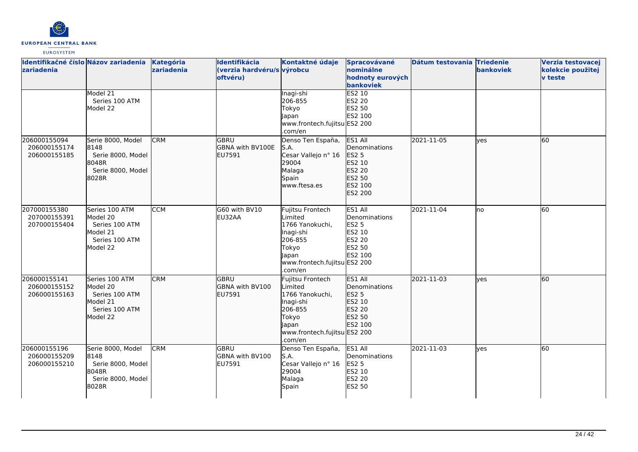

| zariadenia                                   | Identifikačné číslo Názov zariadenia                                                    | Kategória<br>zariadenia | Identifikácia<br>(verzia hardvéru/s výrobcu<br>oftvéru) | Kontaktné údaje                                                                                                                           | Spracovávané<br>nominálne<br>hodnoty eurových<br>bankoviek                            | Dátum testovania Triedenie | bankoviek | Verzia testovacej<br>kolekcie použitej<br><b>v</b> teste |
|----------------------------------------------|-----------------------------------------------------------------------------------------|-------------------------|---------------------------------------------------------|-------------------------------------------------------------------------------------------------------------------------------------------|---------------------------------------------------------------------------------------|----------------------------|-----------|----------------------------------------------------------|
|                                              | Model 21<br>Series 100 ATM<br>Model 22                                                  |                         |                                                         | Inagi-shi<br>206-855<br>Tokyo<br>Japan<br>www.frontech.fujitsu ES2 200<br>.com/en                                                         | ES2 10<br>ES2 20<br>ES2 50<br>ES2 100                                                 |                            |           |                                                          |
| 206000155094<br>206000155174<br>206000155185 | Serie 8000, Model<br>8148<br>Serie 8000, Model<br>8048R<br>Serie 8000, Model<br>8028R   | <b>CRM</b>              | <b>GBRU</b><br>GBNA with BV100E<br><b>EU7591</b>        | Denso Ten España,<br>S.A.<br>Cesar Vallejo nº 16<br>29004<br>Malaga<br>Spain<br>www.ftesa.es                                              | ES1 All<br>Denominations<br>ES2 5<br>ES2 10<br>ES2 20<br>ES2 50<br>ES2 100<br>ES2 200 | 2021-11-05                 | ves       | 60                                                       |
| 207000155380<br>207000155391<br>207000155404 | Series 100 ATM<br>Model 20<br>Series 100 ATM<br>Model 21<br>Series 100 ATM<br>Model 22  | <b>CCM</b>              | G60 with BV10<br>EU32AA                                 | Fujitsu Frontech<br><i>imited</i><br>1766 Yanokuchi,<br>Inagi-shi<br>206-855<br>Tokyo<br>Japan<br>www.frontech.fujitsu ES2 200<br>.com/en | ES1 All<br>Denominations<br><b>ES2 5</b><br>ES2 10<br>ES2 20<br>ES2 50<br>ES2 100     | 2021-11-04                 | lno       | 60                                                       |
| 206000155141<br>206000155152<br>206000155163 | Series 100 ATM<br>Model 20<br>Series 100 ATM<br>lModel 21<br>Series 100 ATM<br>Model 22 | <b>CRM</b>              | <b>GBRU</b><br>GBNA with BV100<br>EU7591                | Fujitsu Frontech<br>Limited<br>1766 Yanokuchi,<br>Inagi-shi<br>206-855<br>Tokyo<br>Japan<br>www.frontech.fujitsu ES2 200<br>.com/en       | ES1 All<br>Denominations<br>ES2 5<br>ES2 10<br>ES2 20<br>ES2 50<br>ES2 100            | 2021-11-03                 | lves      | 60                                                       |
| 206000155196<br>206000155209<br>206000155210 | Serie 8000, Model<br>8148<br>Serie 8000, Model<br>8048R<br>Serie 8000, Model<br>8028R   | <b>CRM</b>              | GBRU<br>GBNA with BV100<br>EU7591                       | Denso Ten España,<br>S.A.<br>Cesar Vallejo nº 16<br>29004<br>Malaga<br>Spain                                                              | ES1 All<br>Denominations<br><b>ES2 5</b><br>ES2 10<br><b>ES2 20</b><br><b>ES2 50</b>  | 2021-11-03                 | yes       | 60                                                       |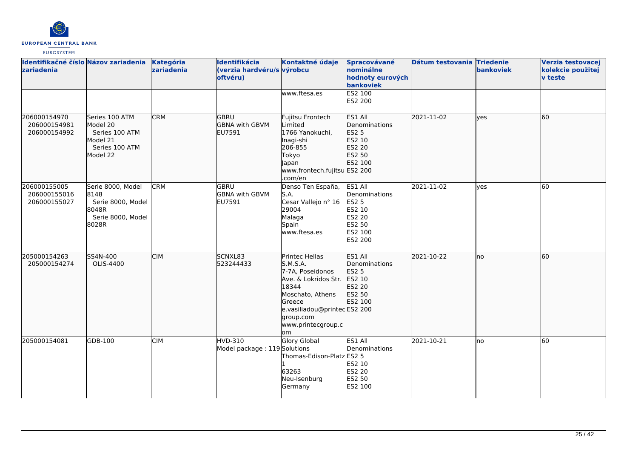

| Identifikačné číslo Názov zariadenia<br>zariadenia |                                                                                        | Kategória<br>zariadenia | Identifikácia<br>(verzia hardvéru/s výrobcu<br>oftvéru) | Kontaktné údaje                                                                                                                                                                       | Spracovávané<br>nominálne<br>hodnoty eurových<br>bankoviek                                          | Dátum testovania Triedenie | bankoviek | Verzia testovacej<br>kolekcie použitej<br><b>v</b> teste |
|----------------------------------------------------|----------------------------------------------------------------------------------------|-------------------------|---------------------------------------------------------|---------------------------------------------------------------------------------------------------------------------------------------------------------------------------------------|-----------------------------------------------------------------------------------------------------|----------------------------|-----------|----------------------------------------------------------|
|                                                    |                                                                                        |                         |                                                         | www.ftesa.es                                                                                                                                                                          | ES2 100<br>ES2 200                                                                                  |                            |           |                                                          |
| 206000154970<br>206000154981<br>206000154992       | Series 100 ATM<br>Model 20<br>Series 100 ATM<br>Model 21<br>Series 100 ATM<br>Model 22 | <b>CRM</b>              | <b>GBRU</b><br><b>GBNA with GBVM</b><br>EU7591          | Fujitsu Frontech<br>Limited<br>1766 Yanokuchi,<br>Inagi-shi<br>206-855<br>Tokyo<br>Japan<br>www.frontech.fujitsu ES2 200<br>.com/en                                                   | ES1 All<br>Denominations<br>ES2 5<br>ES2 10<br>ES2 20<br>ES2 50<br>ES2 100                          | 2021-11-02                 | lves      | 60                                                       |
| 206000155005<br>206000155016<br>206000155027       | Serie 8000, Model<br>8148<br>Serie 8000, Model<br>8048R<br>Serie 8000, Model<br>8028R  | <b>CRM</b>              | lgbru<br><b>GBNA with GBVM</b><br>EU7591                | Denso Ten España,<br>S.A.<br>Cesar Vallejo nº 16<br>29004<br>Malaga<br>Spain<br>www.ftesa.es                                                                                          | ES1 All<br>Denominations<br>ES2 5<br>ES2 10<br><b>ES2 20</b><br>ES2 50<br>ES2 100<br><b>ES2 200</b> | 2021-11-02                 | yes       | 60                                                       |
| 205000154263<br>205000154274                       | SS4N-400<br>OLIS-4400                                                                  | <b>CIM</b>              | SCNXL83<br>523244433                                    | Printec Hellas<br>S.M.S.A.<br>7-7A, Poseidonos<br>Ave. & Lokridos Str.<br>18344<br>Moschato, Athens<br>Greece<br>e.vasiliadou@printecES2 200<br>group.com<br>www.printecgroup.c<br>om | ES1 All<br>Denominations<br>ES2 5<br>ES2 10<br>ES2 20<br>ES2 50<br>ES2 100                          | 2021-10-22                 | Ino       | 60                                                       |
| 205000154081                                       | GDB-100                                                                                | <b>CIM</b>              | HVD-310<br>Model package: 119 Solutions                 | Glory Global<br>Thomas-Edison-Platz ES2 5<br>63263<br>Neu-Isenburg<br>Germany                                                                                                         | ES1 All<br>Denominations<br>ES2 10<br><b>ES2 20</b><br>ES2 50<br>ES2 100                            | 2021-10-21                 | lno       | 60                                                       |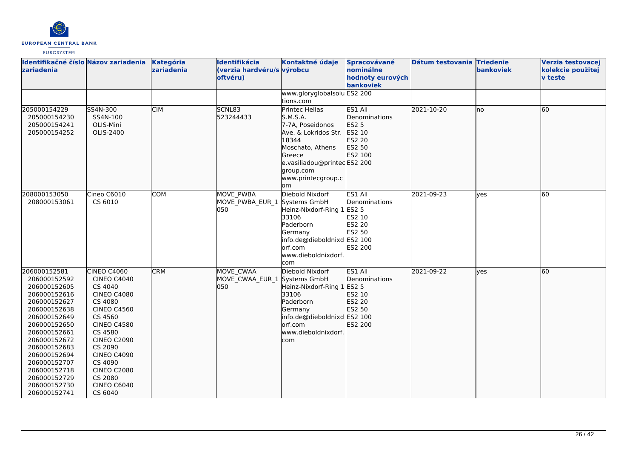

| Identifikačné číslo Názov zariadenia<br>zariadenia                                                                                                                                                                                                                           |                                                                                                                                                                                                                                                                              | <b>Kategória</b><br>zariadenia | Identifikácia<br>(verzia hardvéru/s výrobcu<br>oftvéru) | Kontaktné údaje<br>www.gloryglobalsolu ES2 200                                                                                                                                               | Spracovávané<br>nominálne<br>hodnoty eurových<br>bankoviek                 | Dátum testovania Triedenie | bankoviek | Verzia testovacej<br>kolekcie použitej<br><b>v</b> teste |
|------------------------------------------------------------------------------------------------------------------------------------------------------------------------------------------------------------------------------------------------------------------------------|------------------------------------------------------------------------------------------------------------------------------------------------------------------------------------------------------------------------------------------------------------------------------|--------------------------------|---------------------------------------------------------|----------------------------------------------------------------------------------------------------------------------------------------------------------------------------------------------|----------------------------------------------------------------------------|----------------------------|-----------|----------------------------------------------------------|
|                                                                                                                                                                                                                                                                              |                                                                                                                                                                                                                                                                              |                                |                                                         | tions.com                                                                                                                                                                                    |                                                                            |                            |           |                                                          |
| 205000154229<br>205000154230<br>205000154241<br>205000154252                                                                                                                                                                                                                 | SS4N-300<br>SS4N-100<br>OLIS-Mini<br>OLIS-2400                                                                                                                                                                                                                               | <b>CIM</b>                     | SCNL83<br>523244433                                     | <b>Printec Hellas</b><br>S.M.S.A.<br>7-7A, Poseidonos<br>Ave. & Lokridos Str.<br>18344<br>Moschato, Athens<br>Greece<br>e.vasiliadou@printecES2 200<br>group.com<br>www.printecgroup.c<br>om | ES1 All<br>Denominations<br>ES2 5<br>ES2 10<br>ES2 20<br>ES2 50<br>ES2 100 | 2021-10-20                 | no        | 60                                                       |
| 208000153050<br>208000153061                                                                                                                                                                                                                                                 | Cineo C6010<br>CS 6010                                                                                                                                                                                                                                                       | COM                            | MOVE PWBA<br>MOVE_PWBA_EUR_1<br>050                     | Diebold Nixdorf<br>Systems GmbH<br>Heinz-Nixdorf-Ring 1 ES2 5<br>33106<br>Paderborn<br>Germany<br>info.de@dieboldnixd ES2 100<br>lorf.com<br>www.dieboldnixdorf.<br>com                      | ES1 All<br>Denominations<br>ES2 10<br>ES2 20<br>ES2 50<br>ES2 200          | 2021-09-23                 | ves       | 60                                                       |
| 206000152581<br>206000152592<br>206000152605<br>206000152616<br>206000152627<br>206000152638<br>206000152649<br>206000152650<br>206000152661<br>206000152672<br>206000152683<br>206000152694<br>206000152707<br>206000152718<br>206000152729<br>206000152730<br>206000152741 | CINEO C4060<br><b>CINEO C4040</b><br>CS 4040<br><b>CINEO C4080</b><br>CS 4080<br><b>CINEO C4560</b><br>CS 4560<br><b>CINEO C4580</b><br>CS 4580<br><b>CINEO C2090</b><br>CS 2090<br><b>CINEO C4090</b><br>CS 4090<br><b>CINEO C2080</b><br>CS 2080<br>CINEO C6040<br>CS 6040 | <b>CRM</b>                     | MOVE CWAA<br>MOVE CWAA EUR 1 Systems GmbH<br>lo50       | Diebold Nixdorf<br>Heinz-Nixdorf-Ring 1 ES2 5<br>33106<br>Paderborn<br>Germany<br>info.de@dieboldnixd ES2 100<br>orf.com<br>www.dieboldnixdorf.<br>com                                       | ES1 All<br>Denominations<br>ES2 10<br><b>ES2 20</b><br>ES2 50<br>ES2 200   | 2021-09-22                 | ves       | 60                                                       |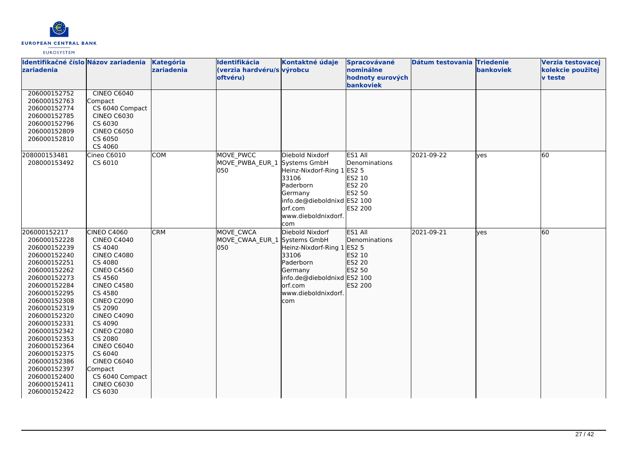

| Identifikačné číslo Názov zariadenia<br>zariadenia                                                                                                                                                                                                                                                                                                           |                                                                                                                                                                                                                                                                                                                                                                          | Kategória<br>zariadenia | Identifikácia<br>(verzia hardvéru/s výrobcu<br>oftvéru) | Kontaktné údaje                                                                                                                                                        | Spracovávané<br>nominálne<br>hodnoty eurových                            | Dátum testovania Triedenie | <b>bankoviek</b> | Verzia testovacej<br>kolekcie použitej<br><b>v</b> teste |
|--------------------------------------------------------------------------------------------------------------------------------------------------------------------------------------------------------------------------------------------------------------------------------------------------------------------------------------------------------------|--------------------------------------------------------------------------------------------------------------------------------------------------------------------------------------------------------------------------------------------------------------------------------------------------------------------------------------------------------------------------|-------------------------|---------------------------------------------------------|------------------------------------------------------------------------------------------------------------------------------------------------------------------------|--------------------------------------------------------------------------|----------------------------|------------------|----------------------------------------------------------|
| 206000152752<br>206000152763<br>206000152774<br>206000152785<br>206000152796<br>206000152809<br>206000152810                                                                                                                                                                                                                                                 | CINEO C6040<br>Compact<br>CS 6040 Compact<br><b>CINEO C6030</b><br>CS 6030<br><b>CINEO C6050</b><br>CS 6050<br>CS 4060                                                                                                                                                                                                                                                   |                         |                                                         |                                                                                                                                                                        | bankoviek                                                                |                            |                  |                                                          |
| 208000153481<br>208000153492                                                                                                                                                                                                                                                                                                                                 | Cineo C6010<br>CS 6010                                                                                                                                                                                                                                                                                                                                                   | <b>COM</b>              | MOVE PWCC<br>MOVE PWBA EUR 1<br>050                     | Diebold Nixdorf<br>Systems GmbH<br>Heinz-Nixdorf-Ring 1 ES2 5<br>33106<br>Paderborn<br>Germany<br>info.de@dieboldnixd ES2 100<br>orf.com<br>www.dieboldnixdorf.<br>com | ES1 All<br>Denominations<br>ES2 10<br>ES2 20<br>ES2 50<br><b>ES2 200</b> | 2021-09-22                 | yes              | 60                                                       |
| 206000152217<br>206000152228<br>206000152239<br>206000152240<br>206000152251<br>206000152262<br>206000152273<br>206000152284<br>206000152295<br>206000152308<br>206000152319<br>206000152320<br>206000152331<br>206000152342<br>206000152353<br>206000152364<br>206000152375<br>206000152386<br>206000152397<br>206000152400<br>206000152411<br>206000152422 | CINEO C4060<br><b>CINEO C4040</b><br>CS 4040<br><b>CINEO C4080</b><br>CS 4080<br><b>CINEO C4560</b><br>CS 4560<br><b>CINEO C4580</b><br>CS 4580<br><b>CINEO C2090</b><br>CS 2090<br><b>CINEO C4090</b><br>CS 4090<br><b>CINEO C2080</b><br>CS 2080<br><b>CINEO C6040</b><br>CS 6040<br><b>CINEO C6040</b><br>Compact<br>CS 6040 Compact<br><b>CINEO C6030</b><br>CS 6030 | <b>CRM</b>              | MOVE CWCA<br>MOVE_CWAA_EUR_1 Systems GmbH<br>050        | Diebold Nixdorf<br>Heinz-Nixdorf-Ring 1 ES2 5<br>33106<br>Paderborn<br>Germany<br>info.de@dieboldnixd ES2 100<br>orf.com<br>www.dieboldnixdorf.<br>com                 | ES1 All<br>Denominations<br>ES2 10<br>ES2 20<br>ES2 50<br>ES2 200        | 2021-09-21                 | ves              | 60                                                       |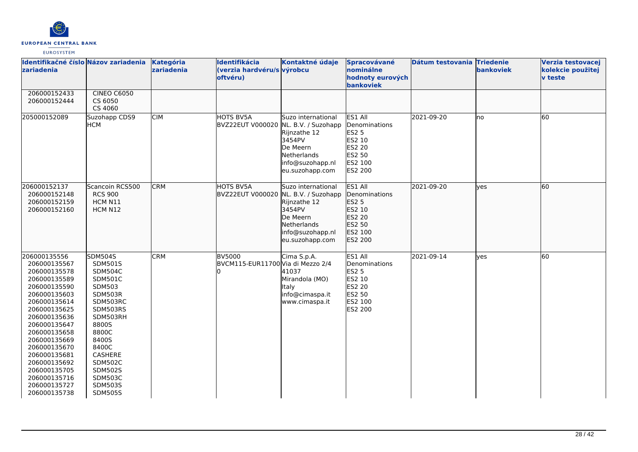

| Identifikačné číslo Názov zariadenia<br><b>zariadenia</b>                                                                                                                                                                                                                                                    |                                                                                                                                                                                                                                                                 | Kategória<br>zariadenia | Identifikácia<br>(verzia hardvéru/s výrobcu<br>oftvéru)  | Kontaktné údaje                                                                                                       | Spracovávané<br>nominálne<br>hodnoty eurových<br>bankoviek                                          | Dátum testovania Triedenie | bankoviek  | Verzia testovacej<br>kolekcie použitej<br><b>v</b> teste |
|--------------------------------------------------------------------------------------------------------------------------------------------------------------------------------------------------------------------------------------------------------------------------------------------------------------|-----------------------------------------------------------------------------------------------------------------------------------------------------------------------------------------------------------------------------------------------------------------|-------------------------|----------------------------------------------------------|-----------------------------------------------------------------------------------------------------------------------|-----------------------------------------------------------------------------------------------------|----------------------------|------------|----------------------------------------------------------|
| 206000152433<br>206000152444                                                                                                                                                                                                                                                                                 | <b>CINEO C6050</b><br>CS 6050<br>CS 4060                                                                                                                                                                                                                        |                         |                                                          |                                                                                                                       |                                                                                                     |                            |            |                                                          |
| 205000152089                                                                                                                                                                                                                                                                                                 | Suzohapp CDS9<br><b>HCM</b>                                                                                                                                                                                                                                     | <b>CIM</b>              | <b>HOTS BV5A</b><br>BVZ22EUT V000020 NL. B.V. / Suzohapp | Suzo international<br>Rijnzathe 12<br>3454PV<br>De Meern<br>Netherlands<br>info@suzohapp.nl<br>eu.suzohapp.com        | ES1 All<br>Denominations<br><b>ES2 5</b><br>ES2 10<br>ES2 20<br><b>ES2 50</b><br>ES2 100<br>ES2 200 | 2021-09-20                 | lno        | 60                                                       |
| 206000152137<br>206000152148<br>206000152159<br>206000152160                                                                                                                                                                                                                                                 | Scancoin RCS500<br><b>RCS 900</b><br>HCM N11<br>HCM N12                                                                                                                                                                                                         | <b>CRM</b>              | HOTS BV5A<br>BVZ22EUT V000020 NL. B.V. / Suzohapp        | Suzo international<br>Rijnzathe 12<br>3454PV<br>De Meern<br><b>Netherlands</b><br>info@suzohapp.nl<br>eu.suzohapp.com | ES1 All<br>Denominations<br>ES2 5<br>ES2 10<br>ES2 20<br>ES2 50<br>ES2 100<br>ES2 200               | 2021-09-20                 | lyes       | 60                                                       |
| 206000135556<br>206000135567<br>206000135578<br>206000135589<br>206000135590<br>206000135603<br>206000135614<br>206000135625<br>206000135636<br>206000135647<br>206000135658<br>206000135669<br>206000135670<br>206000135681<br>206000135692<br>206000135705<br>206000135716<br>206000135727<br>206000135738 | <b>SDM504S</b><br>SDM501S<br><b>SDM504C</b><br><b>SDM501C</b><br>SDM503<br>SDM503R<br>SDM503RC<br>SDM503RS<br>SDM503RH<br>8800S<br>8800C<br>8400S<br>8400C<br>CASHERE<br><b>SDM502C</b><br><b>SDM502S</b><br><b>SDM503C</b><br><b>SDM503S</b><br><b>SDM505S</b> | <b>CRM</b>              | <b>BV5000</b><br>BVCM115-EUR11700 Via di Mezzo 2/4       | Cima S.p.A.<br>41037<br>Mirandola (MO)<br>Italy<br>info@cimaspa.it<br>www.cimaspa.it                                  | ES1 All<br>Denominations<br><b>ES2 5</b><br>ES2 10<br><b>ES2 20</b><br>ES2 50<br>ES2 100<br>ES2 200 | 2021-09-14                 | <b>ves</b> | 60                                                       |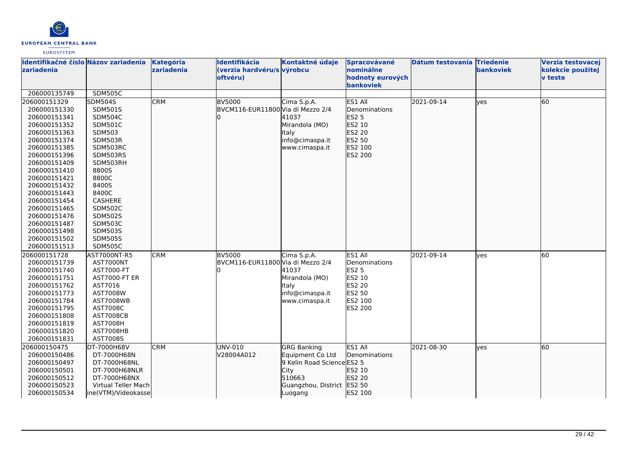

| zariadenia                   | Identifikačné číslo Názov zariadenia | Kategória<br>zariadenia | Identifikácia<br>(verzia hardvéru/s výrobcu<br>oftvéru) | Kontaktné údaje            | Spracovávané<br>nominálne<br>hodnoty eurových | Dátum testovania Triedenie | <b>bankoviek</b> | Verzia testovacej<br>kolekcie použitej<br><b>v</b> teste |
|------------------------------|--------------------------------------|-------------------------|---------------------------------------------------------|----------------------------|-----------------------------------------------|----------------------------|------------------|----------------------------------------------------------|
|                              |                                      |                         |                                                         |                            | <b>bankoviek</b>                              |                            |                  |                                                          |
| 206000135749                 | <b>SDM505C</b>                       |                         |                                                         |                            |                                               |                            |                  |                                                          |
| 206000151329                 | <b>SDM504S</b>                       | <b>CRM</b>              | <b>BV5000</b>                                           | Cima S.p.A.                | ES1 All                                       | 2021-09-14                 | lves             | 60                                                       |
| 206000151330                 | <b>SDM501S</b>                       |                         | BVCM116-EUR11800 Via di Mezzo 2/4                       |                            | Denominations                                 |                            |                  |                                                          |
| 206000151341                 | <b>SDM504C</b>                       |                         |                                                         | 41037                      | ES2 5                                         |                            |                  |                                                          |
| 206000151352                 | <b>SDM501C</b>                       |                         |                                                         | Mirandola (MO)             | ES2 10                                        |                            |                  |                                                          |
| 206000151363                 | SDM503                               |                         |                                                         | Italy                      | ES2 20                                        |                            |                  |                                                          |
| 206000151374                 | SDM503R                              |                         |                                                         | info@cimaspa.it            | ES2 50                                        |                            |                  |                                                          |
| 206000151385                 | SDM503RC                             |                         |                                                         | www.cimaspa.it             | ES2 100                                       |                            |                  |                                                          |
| 206000151396                 | SDM503RS                             |                         |                                                         |                            | ES2 200                                       |                            |                  |                                                          |
| 206000151409                 | SDM503RH                             |                         |                                                         |                            |                                               |                            |                  |                                                          |
| 206000151410                 | 8800S                                |                         |                                                         |                            |                                               |                            |                  |                                                          |
| 206000151421                 | 8800C                                |                         |                                                         |                            |                                               |                            |                  |                                                          |
| 206000151432                 | 8400S                                |                         |                                                         |                            |                                               |                            |                  |                                                          |
| 206000151443                 | 8400C                                |                         |                                                         |                            |                                               |                            |                  |                                                          |
| 206000151454                 | CASHERE                              |                         |                                                         |                            |                                               |                            |                  |                                                          |
| 206000151465                 | <b>SDM502C</b>                       |                         |                                                         |                            |                                               |                            |                  |                                                          |
| 206000151476                 | <b>SDM502S</b>                       |                         |                                                         |                            |                                               |                            |                  |                                                          |
| 206000151487                 | <b>SDM503C</b>                       |                         |                                                         |                            |                                               |                            |                  |                                                          |
| 206000151498                 | <b>SDM503S</b>                       |                         |                                                         |                            |                                               |                            |                  |                                                          |
| 206000151502                 | <b>SDM505S</b>                       |                         |                                                         |                            |                                               |                            |                  |                                                          |
| 206000151513                 | <b>SDM505C</b>                       |                         |                                                         |                            |                                               |                            |                  |                                                          |
| 206000151728                 | AST7000NT-R5                         | <b>CRM</b>              | <b>BV5000</b>                                           | Cima S.p.A.                | ES1 All                                       | 2021-09-14                 | lves             | 60                                                       |
| 206000151739                 | AST7000NT                            |                         | BVCM116-EUR11800 Via di Mezzo 2/4                       |                            | Denominations                                 |                            |                  |                                                          |
| 206000151740                 | AST7000-FT                           |                         |                                                         | 41037                      | ES2 5                                         |                            |                  |                                                          |
| 206000151751                 | <b>AST7000-FT ER</b>                 |                         |                                                         | Mirandola (MO)             | ES2 10                                        |                            |                  |                                                          |
| 206000151762                 | AST7016                              |                         |                                                         | ltaly                      | ES2 20                                        |                            |                  |                                                          |
| 206000151773                 | AST7008W                             |                         |                                                         | info@cimaspa.it            | ES2 50                                        |                            |                  |                                                          |
| 206000151784<br>206000151795 | <b>AST7008WB</b><br>AST7008C         |                         |                                                         | www.cimaspa.it             | ES2 100<br>ES2 200                            |                            |                  |                                                          |
| 206000151808                 | <b>AST7008CB</b>                     |                         |                                                         |                            |                                               |                            |                  |                                                          |
| 206000151819                 | <b>AST7008H</b>                      |                         |                                                         |                            |                                               |                            |                  |                                                          |
| 206000151820                 | AST7008HB                            |                         |                                                         |                            |                                               |                            |                  |                                                          |
| 206000151831                 | AST7008S                             |                         |                                                         |                            |                                               |                            |                  |                                                          |
| 206000150475                 | DT-7000H68V                          | <b>CRM</b>              | UNV-010                                                 | <b>GRG Banking</b>         | ES1 All                                       | 2021-08-30                 | lves             | 60                                                       |
| 206000150486                 | DT-7000H68N                          |                         | V28004A012                                              | Equipment Co Ltd           | Denominations                                 |                            |                  |                                                          |
| 206000150497                 | DT-7000H68NL                         |                         |                                                         | 9 Kelin Road Science ES2 5 |                                               |                            |                  |                                                          |
| 206000150501                 | DT-7000H68NLR                        |                         |                                                         | <b>City</b>                | ES2 10                                        |                            |                  |                                                          |
| 206000150512                 | DT-7000H68NX                         |                         |                                                         | 510663                     | ES2 20                                        |                            |                  |                                                          |
| 206000150523                 | Virtual Teller Mach                  |                         |                                                         | Guangzhou, District        | ES2 50                                        |                            |                  |                                                          |
| 206000150534                 | ine(VTM)/Videokasse                  |                         |                                                         | Luogang                    | ES2 100                                       |                            |                  |                                                          |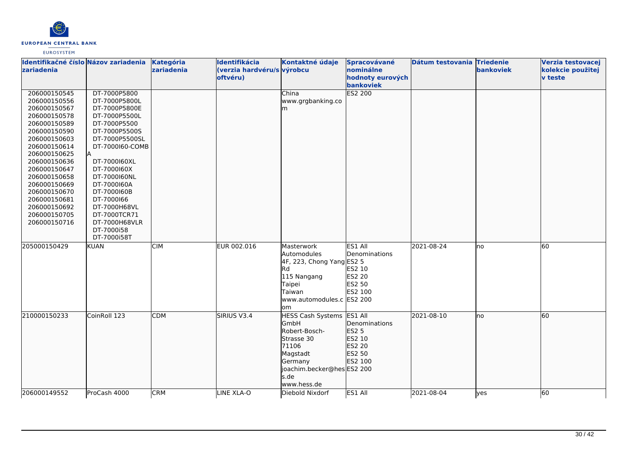

| Identifikačné číslo Názov zariadenia |                            | Kategória  | Identifikácia              | Kontaktné údaje           | Spracovávané                  | Dátum testovania Triedenie |           | Verzia testovacej |
|--------------------------------------|----------------------------|------------|----------------------------|---------------------------|-------------------------------|----------------------------|-----------|-------------------|
| zariadenia                           |                            | zariadenia | (verzia hardvéru/s výrobcu |                           | nominálne                     |                            | bankoviek | kolekcie použitej |
|                                      |                            |            | oftvéru)                   |                           | hodnoty eurových<br>bankoviek |                            |           | <b>v</b> teste    |
| 206000150545                         | DT-7000P5800               |            |                            | China                     | ES2 200                       |                            |           |                   |
| 206000150556                         | DT-7000P5800L              |            |                            | www.grgbanking.co         |                               |                            |           |                   |
| 206000150567                         | DT-7000P5800E              |            |                            | m                         |                               |                            |           |                   |
| 206000150578                         | DT-7000P5500L              |            |                            |                           |                               |                            |           |                   |
| 206000150589                         | DT-7000P5500               |            |                            |                           |                               |                            |           |                   |
| 206000150590                         | DT-7000P5500S              |            |                            |                           |                               |                            |           |                   |
| 206000150603                         | DT-7000P5500SL             |            |                            |                           |                               |                            |           |                   |
| 206000150614                         | DT-7000160-COMB            |            |                            |                           |                               |                            |           |                   |
| 206000150625                         |                            |            |                            |                           |                               |                            |           |                   |
| 206000150636                         | DT-7000160XL               |            |                            |                           |                               |                            |           |                   |
| 206000150647                         | DT-7000160X                |            |                            |                           |                               |                            |           |                   |
| 206000150658                         | DT-7000160NL               |            |                            |                           |                               |                            |           |                   |
| 206000150669<br>206000150670         | DT-7000160A<br>DT-7000160B |            |                            |                           |                               |                            |           |                   |
| 206000150681                         | DT-7000166                 |            |                            |                           |                               |                            |           |                   |
| 206000150692                         | DT-7000H68VL               |            |                            |                           |                               |                            |           |                   |
| 206000150705                         | DT-7000TCR71               |            |                            |                           |                               |                            |           |                   |
| 206000150716                         | DT-7000H68VLR              |            |                            |                           |                               |                            |           |                   |
|                                      | DT-7000i58                 |            |                            |                           |                               |                            |           |                   |
|                                      | DT-7000i58T                |            |                            |                           |                               |                            |           |                   |
| 205000150429                         | <b>KUAN</b>                | <b>CIM</b> | EUR 002.016                | Masterwork                | ES1 All                       | 2021-08-24                 | no        | 60                |
|                                      |                            |            |                            | Automodules               | Denominations                 |                            |           |                   |
|                                      |                            |            |                            | 4F, 223, Chong Yang ES2 5 |                               |                            |           |                   |
|                                      |                            |            |                            | Rd                        | ES2 10                        |                            |           |                   |
|                                      |                            |            |                            | 115 Nangang               | ES2 20                        |                            |           |                   |
|                                      |                            |            |                            | Taipei<br><b>Taiwan</b>   | ES2 50<br>ES2 100             |                            |           |                   |
|                                      |                            |            |                            | www.automodules.c ES2 200 |                               |                            |           |                   |
|                                      |                            |            |                            | lom                       |                               |                            |           |                   |
| 210000150233                         | CoinRoll 123               | <b>CDM</b> | SIRIUS V3.4                | HESS Cash Systems ES1 All |                               | 2021-08-10                 | lno       | 60                |
|                                      |                            |            |                            | GmbH                      | Denominations                 |                            |           |                   |
|                                      |                            |            |                            | Robert-Bosch-             | ES2 5                         |                            |           |                   |
|                                      |                            |            |                            | Strasse 30                | ES2 10                        |                            |           |                   |
|                                      |                            |            |                            | 71106                     | ES2 20                        |                            |           |                   |
|                                      |                            |            |                            | Magstadt                  | ES2 50                        |                            |           |                   |
|                                      |                            |            |                            | Germany                   | ES2 100                       |                            |           |                   |
|                                      |                            |            |                            | joachim.becker@hesES2 200 |                               |                            |           |                   |
|                                      |                            |            |                            | s.de                      |                               |                            |           |                   |
|                                      |                            |            |                            | www.hess.de               |                               |                            |           |                   |
| 206000149552                         | ProCash 4000               | <b>CRM</b> | LINE XLA-O                 | Diebold Nixdorf           | ES1 All                       | 2021-08-04                 | lyes      | 60                |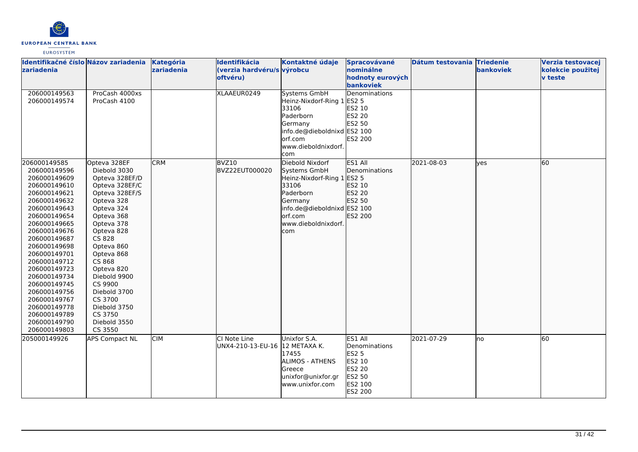

| Identifikačné číslo Názov zariadenia<br><b>zariadenia</b>                                                                                                                                                                                                                                                                                                                    |                                                                                                                                                                                                                                                                                                                                    | Kategória<br>zariadenia | Identifikácia<br>(verzia hardvéru/s výrobcu<br>oftvéru) | Kontaktné údaje                                                                                                                                                        | Spracovávané<br>nominálne<br>hodnoty eurových<br>bankoviek                                   | Dátum testovania Triedenie | bankoviek | Verzia testovacej<br>kolekcie použitej<br><b>v</b> teste |
|------------------------------------------------------------------------------------------------------------------------------------------------------------------------------------------------------------------------------------------------------------------------------------------------------------------------------------------------------------------------------|------------------------------------------------------------------------------------------------------------------------------------------------------------------------------------------------------------------------------------------------------------------------------------------------------------------------------------|-------------------------|---------------------------------------------------------|------------------------------------------------------------------------------------------------------------------------------------------------------------------------|----------------------------------------------------------------------------------------------|----------------------------|-----------|----------------------------------------------------------|
| 206000149563<br>206000149574                                                                                                                                                                                                                                                                                                                                                 | ProCash 4000xs<br>ProCash 4100                                                                                                                                                                                                                                                                                                     |                         | XLAAEUR0249                                             | Systems GmbH<br>Heinz-Nixdorf-Ring 1 ES2 5<br>33106<br>Paderborn<br>Germany<br>info.de@dieboldnixd ES2 100<br>orf.com<br>www.dieboldnixdorf.<br>com                    | Denominations<br>ES2 10<br><b>ES2 20</b><br>ES2 50<br><b>ES2 200</b>                         |                            |           |                                                          |
| 206000149585<br>206000149596<br>206000149609<br>206000149610<br>206000149621<br>206000149632<br>206000149643<br>206000149654<br>206000149665<br>206000149676<br>206000149687<br>206000149698<br>206000149701<br>206000149712<br>206000149723<br>206000149734<br>206000149745<br>206000149756<br>206000149767<br>206000149778<br>206000149789<br>206000149790<br>206000149803 | Opteva 328EF<br>Diebold 3030<br>Opteva 328EF/D<br>Opteva 328EF/C<br>Opteva 328EF/S<br>Opteva 328<br>Opteva 324<br>Opteva 368<br>Opteva 378<br>Opteva 828<br>CS 828<br>Opteva 860<br>Opteva 868<br>CS 868<br>Opteva 820<br>Diebold 9900<br>CS 9900<br>Diebold 3700<br>CS 3700<br>Diebold 3750<br>CS 3750<br>Diebold 3550<br>CS 3550 | <b>CRM</b>              | BVZ10<br>BVZ22EUT000020                                 | Diebold Nixdorf<br>Systems GmbH<br>Heinz-Nixdorf-Ring 1 ES2 5<br>33106<br>Paderborn<br>Germany<br>info.de@dieboldnixd ES2 100<br>orf.com<br>www.dieboldnixdorf.<br>com | ES1 All<br>Denominations<br>ES2 10<br>ES2 20<br>ES2 50<br>ES2 200                            | 2021-08-03                 | ves       | 60                                                       |
| 205000149926                                                                                                                                                                                                                                                                                                                                                                 | <b>APS Compact NL</b>                                                                                                                                                                                                                                                                                                              | <b>CIM</b>              | CI Note Line<br>UNX4-210-13-EU-16 12 METAXA K.          | Unixfor S.A.<br>17455<br>ALIMOS - ATHENS<br>Greece<br>unixfor@unixfor.gr<br>www.unixfor.com                                                                            | ES1 All<br>Denominations<br><b>ES2 5</b><br>ES2 10<br>ES2 20<br>ES2 50<br>ES2 100<br>ES2 200 | 2021-07-29                 | lno       | 60                                                       |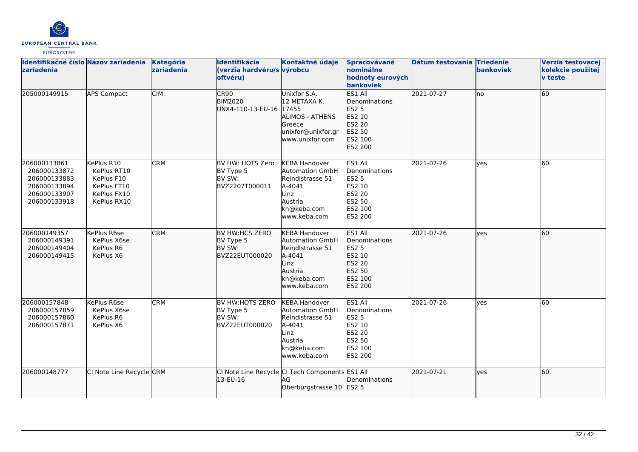

| Identifikačné číslo Názov zariadenia<br>zariadenia                                           |                                                                                      | Kategória<br>zariadenia | Identifikácia<br>(verzia hardvéru/s výrobcu<br>oftvéru)     | Kontaktné údaje                                                                                                                | Spracovávané<br>nominálne<br>hodnoty eurových<br>bankoviek                                          | Dátum testovania Triedenie | bankoviek  | Verzia testovacej<br>kolekcie použitej<br><b>v</b> teste |
|----------------------------------------------------------------------------------------------|--------------------------------------------------------------------------------------|-------------------------|-------------------------------------------------------------|--------------------------------------------------------------------------------------------------------------------------------|-----------------------------------------------------------------------------------------------------|----------------------------|------------|----------------------------------------------------------|
| 205000149915                                                                                 | <b>APS Compact</b>                                                                   | <b>CIM</b>              | CR90<br><b>BIM2020</b><br>UNX4-110-13-EU-16 17455           | Unixfor S.A.<br>12 METAXA K.<br><b>ALIMOS - ATHENS</b><br>Greece<br>unixfor@unixfor.gr<br>www.unixfor.com                      | ES1 All<br>Denominations<br>ES2 5<br>ES2 10<br>ES2 20<br>ES2 50<br>ES2 100<br>ES2 200               | 2021-07-27                 | lno        | 60                                                       |
| 206000133861<br>206000133872<br>206000133883<br>206000133894<br>206000133907<br>206000133918 | KePlus R10<br>KePlus RT10<br>KePlus F10<br>KePlus FT10<br>KePlus FX10<br>KePlus RX10 | <b>CRM</b>              | BV HW: HOTS Zero<br>BV Type 5<br>BV SW:<br>BVZ2207T000011   | <b>KEBA Handover</b><br><b>Automation GmbH</b><br>Reindlstrasse 51<br>A-4041<br>Linz<br>Austria<br>kh@keba.com<br>www.keba.com | ES1 All<br>Denominations<br><b>ES2 5</b><br>ES2 10<br>ES2 20<br>ES2 50<br>ES2 100<br>ES2 200        | 2021-07-26                 | ves        | 60                                                       |
| 206000149357<br>206000149391<br>206000149404<br>206000149415                                 | KePlus R6se<br>KePlus X6se<br>KePlus R6<br>KePlus X6                                 | <b>CRM</b>              | BV HW:HCS ZERO<br>BV Type 5<br>BV SW:<br>BVZ22EUT000020     | <b>KEBA Handover</b><br><b>Automation GmbH</b><br>Reindlstrasse 51<br>A-4041<br>Linz<br>Austria<br>kh@keba.com<br>www.keba.com | ES1 All<br>Denominations<br><b>ES2 5</b><br>ES2 10<br>ES2 20<br>ES2 50<br>ES2 100<br>ES2 200        | 2021-07-26                 | lves       | 60                                                       |
| 206000157848<br>206000157859<br>206000157860<br>206000157871                                 | KePlus R6se<br>KePlus X6se<br>KePlus R6<br>KePlus X6                                 | <b>CRM</b>              | BV HW:HOTS ZERO<br>BV Type 5<br>BV SW:<br>BVZ22EUT000020    | <b>KEBA Handover</b><br>Automation GmbH<br>Reindlstrasse 51<br>A-4041<br>Linz<br>Austria<br>kh@keba.com<br>www.keba.com        | ES1 All<br>Denominations<br>ES2 5<br>ES2 10<br><b>ES2 20</b><br>ES2 50<br>ES2 100<br><b>ES2 200</b> | 2021-07-26                 | <b>ves</b> | 60                                                       |
| 206000148777                                                                                 | CI Note Line Recycle CRM                                                             |                         | CI Note Line Recycle CI Tech Components ES1 All<br>13-EU-16 | AG<br>Oberburgstrasse 10 ES2 5                                                                                                 | Denominations                                                                                       | 2021-07-21                 | lyes       | 60                                                       |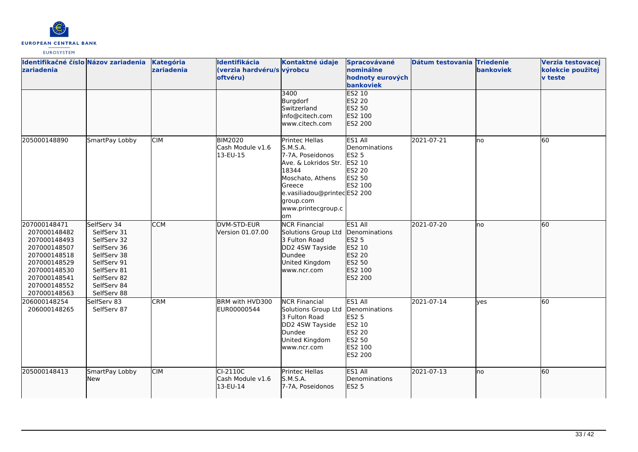

| Identifikačné číslo Názov zariadenia<br>zariadenia                                                                                                           |                                                                                                                                                    | Kategória<br>zariadenia | Identifikácia<br>(verzia hardvéru/s výrobcu<br>oftvéru) | Kontaktné údaje                                                                                                                                                                       | Spracovávané<br>nominálne<br>hodnoty eurových<br>bankoviek                                   | Dátum testovania Triedenie | bankoviek  | Verzia testovacej<br>kolekcie použitej<br><b>v</b> teste |
|--------------------------------------------------------------------------------------------------------------------------------------------------------------|----------------------------------------------------------------------------------------------------------------------------------------------------|-------------------------|---------------------------------------------------------|---------------------------------------------------------------------------------------------------------------------------------------------------------------------------------------|----------------------------------------------------------------------------------------------|----------------------------|------------|----------------------------------------------------------|
|                                                                                                                                                              |                                                                                                                                                    |                         |                                                         | 3400<br>Burgdorf<br>Switzerland<br>info@citech.com<br>lwww.citech.com                                                                                                                 | <b>ES2 10</b><br>ES2 20<br>ES2 50<br>ES2 100<br><b>ES2 200</b>                               |                            |            |                                                          |
| 205000148890                                                                                                                                                 | SmartPay Lobby                                                                                                                                     | <b>CIM</b>              | <b>BIM2020</b><br>Cash Module v1.6<br>13-EU-15          | Printec Hellas<br>S.M.S.A.<br>7-7A, Poseidonos<br>Ave. & Lokridos Str.<br>18344<br>Moschato, Athens<br>Greece<br>e.vasiliadou@printecES2 200<br>group.com<br>www.printecgroup.c<br>om | ES1 All<br>Denominations<br>ES2 5<br>ES2 10<br>ES2 20<br>ES2 50<br>ES2 100                   | 2021-07-21                 | lno        | 60                                                       |
| 207000148471<br>207000148482<br>207000148493<br>207000148507<br>207000148518<br>207000148529<br>207000148530<br>207000148541<br>207000148552<br>207000148563 | SelfServ 34<br>SelfServ 31<br>SelfServ 32<br>SelfServ 36<br>SelfServ 38<br>SelfServ 91<br>SelfServ 81<br>SelfServ 82<br>SelfServ 84<br>SelfServ 88 | <b>CCM</b>              | DVM-STD-EUR<br>Version 01.07.00                         | <b>NCR Financial</b><br>Solutions Group Ltd<br>3 Fulton Road<br>DD2 4SW Tayside<br>Dundee<br>United Kingdom<br>www.ncr.com                                                            | ES1 All<br>Denominations<br>ES2 5<br>ES2 10<br>ES2 20<br>ES2 50<br>ES2 100<br>ES2 200        | 2021-07-20                 | lno        | 60                                                       |
| 206000148254<br>206000148265                                                                                                                                 | SelfServ 83<br>SelfServ 87                                                                                                                         | <b>CRM</b>              | BRM with HVD300<br>EUR00000544                          | <b>NCR Financial</b><br>Solutions Group Ltd<br>3 Fulton Road<br>DD2 4SW Tayside<br>Dundee<br>United Kingdom<br>www.ncr.com                                                            | ES1 All<br>Denominations<br>ES2 5<br>ES2 10<br>ES2 20<br>ES2 50<br>ES2 100<br><b>ES2 200</b> | 2021-07-14                 | <b>ves</b> | 60                                                       |
| 205000148413                                                                                                                                                 | SmartPay Lobby<br>New                                                                                                                              | <b>CIM</b>              | CI-2110C<br>Cash Module v1.6<br>13-EU-14                | Printec Hellas<br>S.M.S.A.<br>7-7A, Poseidonos                                                                                                                                        | ES1 All<br>Denominations<br><b>ES2 5</b>                                                     | 2021-07-13                 | no         | 60                                                       |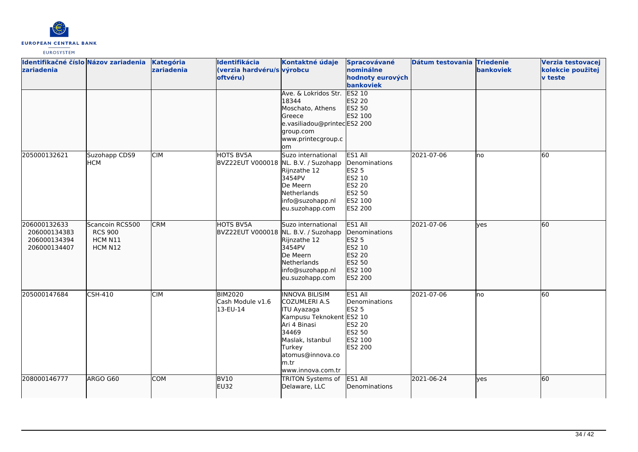

| Identifikačné číslo Názov zariadenia<br>zariadenia           |                                                         | Kategória<br>zariadenia | Identifikácia<br>(verzia hardvéru/s výrobcu<br>oftvéru) | Kontaktné údaje<br>Ave. & Lokridos Str. ES2 10<br>18344<br>Moschato, Athens<br>Greece<br>e.vasiliadou@printecES2 200                                                                              | Spracovávané<br>nominálne<br>hodnoty eurových<br>bankoviek<br>ES2 20<br>ES2 50<br>ES2 100                  | Dátum testovania Triedenie | <b>bankoviek</b> | Verzia testovacej<br>kolekcie použitej<br><b>v</b> teste |
|--------------------------------------------------------------|---------------------------------------------------------|-------------------------|---------------------------------------------------------|---------------------------------------------------------------------------------------------------------------------------------------------------------------------------------------------------|------------------------------------------------------------------------------------------------------------|----------------------------|------------------|----------------------------------------------------------|
|                                                              |                                                         |                         |                                                         | group.com<br>www.printecgroup.c<br>lom                                                                                                                                                            |                                                                                                            |                            |                  |                                                          |
| 205000132621                                                 | Suzohapp CDS9<br><b>HCM</b>                             | <b>CIM</b>              | HOTS BV5A<br>BVZ22EUT V000018 NL. B.V. / Suzohapp       | Suzo international<br>Rijnzathe 12<br>3454PV<br>De Meern<br>Netherlands<br>info@suzohapp.nl<br>eu.suzohapp.com                                                                                    | ES1 All<br>Denominations<br><b>ES2 5</b><br>ES2 10<br><b>ES2 20</b><br>ES2 50<br>ES2 100<br><b>ES2 200</b> | 2021-07-06                 | lno              | 60                                                       |
| 206000132633<br>206000134383<br>206000134394<br>206000134407 | Scancoin RCS500<br><b>RCS 900</b><br>HCM N11<br>HCM N12 | <b>CRM</b>              | HOTS BV5A<br>BVZ22EUT V000018 NL. B.V. / Suzohapp       | Suzo international<br>Rijnzathe 12<br>3454PV<br>De Meern<br>Netherlands<br>info@suzohapp.nl<br>eu.suzohapp.com                                                                                    | ES1 All<br>Denominations<br>ES2 5<br>ES2 10<br>ES2 20<br>ES2 50<br>ES2 100<br>ES2 200                      | 2021-07-06                 | lves             | 60                                                       |
| 205000147684                                                 | <b>CSH-410</b>                                          | <b>CIM</b>              | <b>BIM2020</b><br>Cash Module v1.6<br>13-EU-14          | <b>INNOVA BILISIM</b><br><b>COZUMLERI A.S</b><br>ITU Ayazaga<br>Kampusu Teknokent ES2 10<br>Ari 4 Binasi<br>34469<br>Maslak, Istanbul<br>Turkey<br>atomus@innova.co<br>lm.tr<br>www.innova.com.tr | ES1 All<br>Denominations<br><b>ES2 5</b><br>ES2 20<br>ES2 50<br>ES2 100<br><b>ES2 200</b>                  | 2021-07-06                 | no               | 60                                                       |
| 208000146777                                                 | ARGO G60                                                | <b>COM</b>              | <b>BV10</b><br><b>EU32</b>                              | <b>TRITON Systems of</b><br>Delaware, LLC                                                                                                                                                         | ES1 All<br>Denominations                                                                                   | 2021-06-24                 | yes              | 60                                                       |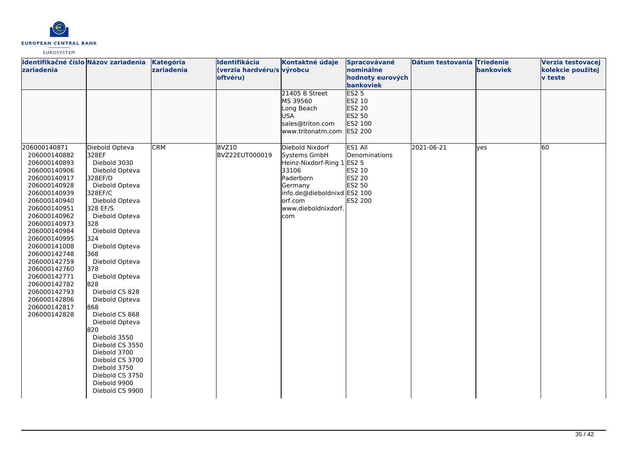

| Identifikačné číslo Názov zariadenia<br>zariadenia                                                                                                                                                                                                                                                                                                           |                                                                                                                                                                                                                                                                                                                                                                                                                                                                              | Kategória<br>zariadenia | Identifikácia<br>(verzia hardvéru/s výrobcu<br>oftvéru) | Kontaktné údaje                                                                                                                                      | Spracovávané<br>nominálne<br>hodnoty eurových                                                   | Dátum testovania Triedenie | bankoviek | Verzia testovacej<br>kolekcie použitej<br><b>v</b> teste |
|--------------------------------------------------------------------------------------------------------------------------------------------------------------------------------------------------------------------------------------------------------------------------------------------------------------------------------------------------------------|------------------------------------------------------------------------------------------------------------------------------------------------------------------------------------------------------------------------------------------------------------------------------------------------------------------------------------------------------------------------------------------------------------------------------------------------------------------------------|-------------------------|---------------------------------------------------------|------------------------------------------------------------------------------------------------------------------------------------------------------|-------------------------------------------------------------------------------------------------|----------------------------|-----------|----------------------------------------------------------|
| 206000140871                                                                                                                                                                                                                                                                                                                                                 | Diebold Opteva                                                                                                                                                                                                                                                                                                                                                                                                                                                               | <b>CRM</b>              | BVZ10                                                   | 21405 B Street<br>MS 39560<br>Long Beach<br><b>USA</b><br>sales@triton.com<br>www.tritonatm.com<br>Diebold Nixdorf                                   | bankoviek<br><b>ES2 5</b><br>ES2 10<br>ES2 20<br>ES2 50<br>ES2 100<br><b>ES2 200</b><br>ES1 All | 2021-06-21                 | lves      | 60                                                       |
| 206000140882<br>206000140893<br>206000140906<br>206000140917<br>206000140928<br>206000140939<br>206000140940<br>206000140951<br>206000140962<br>206000140973<br>206000140984<br>206000140995<br>206000141008<br>206000142748<br>206000142759<br>206000142760<br>206000142771<br>206000142782<br>206000142793<br>206000142806<br>206000142817<br>206000142828 | 328EF<br>Diebold 3030<br>Diebold Opteva<br>328EF/D<br>Diebold Opteva<br>328EF/C<br>Diebold Opteva<br>328 EF/S<br>Diebold Opteva<br>328<br>Diebold Opteva<br>324<br>Diebold Opteva<br>368<br>Diebold Opteva<br>378<br>Diebold Opteva<br>828<br>Diebold CS 828<br>Diebold Opteva<br>868<br>Diebold CS 868<br>Diebold Opteva<br>820<br>Diebold 3550<br>Diebold CS 3550<br>Diebold 3700<br>Diebold CS 3700<br>Diebold 3750<br>Diebold CS 3750<br>Diebold 9900<br>Diebold CS 9900 |                         | BVZ22EUT000019                                          | Systems GmbH<br>Heinz-Nixdorf-Ring 1 ES2 5<br>33106<br>Paderborn<br>Germany<br>info.de@dieboldnixd ES2 100<br>lorf.com<br>www.dieboldnixdorf.<br>com | Denominations<br>ES2 10<br>ES2 20<br>ES2 50<br>ES2 200                                          |                            |           |                                                          |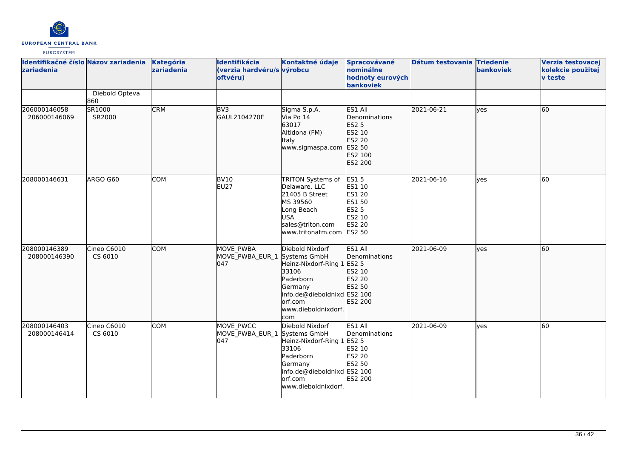

| Identifikačné číslo Názov zariadenia<br>zariadenia |                        | Kategória<br>zariadenia | Identifikácia<br>(verzia hardvéru/s výrobcu<br>oftvéru) | Kontaktné údaje                                                                                                                                                        | Spracovávané<br>nominálne<br>hodnoty eurových<br>bankoviek                                            | Dátum testovania Triedenie | bankoviek  | Verzia testovacej<br>kolekcie použitej<br><b>v</b> teste |
|----------------------------------------------------|------------------------|-------------------------|---------------------------------------------------------|------------------------------------------------------------------------------------------------------------------------------------------------------------------------|-------------------------------------------------------------------------------------------------------|----------------------------|------------|----------------------------------------------------------|
|                                                    | Diebold Opteva<br>860  |                         |                                                         |                                                                                                                                                                        |                                                                                                       |                            |            |                                                          |
| 206000146058<br>206000146069                       | SR1000<br>SR2000       | <b>CRM</b>              | BV <sub>3</sub><br>GAUL2104270E                         | Sigma S.p.A.<br>Via Po 14<br>63017<br>Altidona (FM)<br><b>Italy</b><br>www.sigmaspa.com                                                                                | ES1 All<br>Denominations<br><b>ES2 5</b><br>ES2 10<br>ES2 20<br>ES2 50<br>ES2 100<br>ES2 200          | 2021-06-21                 | lyes       | 60                                                       |
| 208000146631                                       | ARGO G60               | COM                     | <b>BV10</b><br><b>EU27</b>                              | TRITON Systems of<br>Delaware, LLC<br>21405 B Street<br>MS 39560<br>Long Beach<br><b>USA</b><br>sales@triton.com<br>www.tritonatm.com                                  | <b>ES15</b><br>ES1 10<br><b>ES1 20</b><br>ES1 50<br><b>ES2 5</b><br>ES2 10<br>ES2 20<br><b>ES2 50</b> | 2021-06-16                 | yes        | 60                                                       |
| 208000146389<br>208000146390                       | Cineo C6010<br>CS 6010 | <b>COM</b>              | <b>MOVE PWBA</b><br>MOVE_PWBA_EUR_1<br>l047             | Diebold Nixdorf<br>Systems GmbH<br>Heinz-Nixdorf-Ring 1 ES2 5<br>33106<br>Paderborn<br>Germany<br>info.de@dieboldnixd ES2 100<br>orf.com<br>www.dieboldnixdorf.<br>com | ES1 All<br>Denominations<br>ES2 10<br>ES2 20<br>ES2 50<br>ES2 200                                     | 2021-06-09                 | lves       | 60                                                       |
| 208000146403<br>208000146414                       | Cineo C6010<br>CS 6010 | <b>COM</b>              | MOVE PWCC<br>MOVE_PWBA_EUR_1 Systems GmbH<br>047        | Diebold Nixdorf<br>Heinz-Nixdorf-Ring 1 ES2 5<br>33106<br>Paderborn<br>Germany<br>info.de@dieboldnixd ES2 100<br>orf.com<br>www.dieboldnixdorf.                        | ES1 All<br>Denominations<br>ES2 10<br><b>ES2 20</b><br>ES2 50<br>ES2 200                              | 2021-06-09                 | <b>yes</b> | 60                                                       |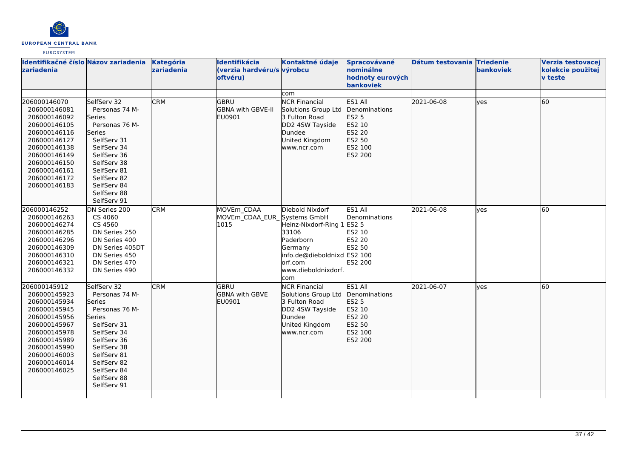

| zariadenia                                                                                                                                                                                   | Identifikačné číslo Názov zariadenia                                                                                                                                                                       | Kategória<br>zariadenia | Identifikácia<br>(verzia hardvéru/s výrobcu<br>oftvéru) | Kontaktné údaje                                                                                                                                   | Spracovávané<br>nominálne<br>hodnoty eurových<br><b>bankoviek</b>                     | Dátum testovania Triedenie | bankoviek | Verzia testovacej<br>kolekcie použitej<br><b>v</b> teste |
|----------------------------------------------------------------------------------------------------------------------------------------------------------------------------------------------|------------------------------------------------------------------------------------------------------------------------------------------------------------------------------------------------------------|-------------------------|---------------------------------------------------------|---------------------------------------------------------------------------------------------------------------------------------------------------|---------------------------------------------------------------------------------------|----------------------------|-----------|----------------------------------------------------------|
|                                                                                                                                                                                              |                                                                                                                                                                                                            |                         |                                                         | com                                                                                                                                               |                                                                                       |                            |           |                                                          |
| 206000146070<br>206000146081<br>206000146092<br>206000146105<br>206000146116<br>206000146127<br>206000146138<br>206000146149<br>206000146150<br>206000146161<br>206000146172<br>206000146183 | SelfServ 32<br>Personas 74 M-<br>Series<br>Personas 76 M-<br>Series<br>SelfServ 31<br>SelfServ 34<br>SelfServ 36<br>SelfServ 38<br>SelfServ 81<br>SelfServ 82<br>SelfServ 84<br>SelfServ 88<br>SelfServ 91 | <b>CRM</b>              | <b>GBRU</b><br>GBNA with GBVE-II<br>EU0901              | <b>NCR Financial</b><br>Solutions Group Ltd<br>3 Fulton Road<br>DD2 4SW Tayside<br>Dundee<br>United Kingdom<br>www.ncr.com                        | ES1 All<br>Denominations<br>ES2 5<br>ES2 10<br>ES2 20<br>ES2 50<br>ES2 100<br>ES2 200 | 2021-06-08                 | lves      | 60                                                       |
| 206000146252<br>206000146263<br>206000146274<br>206000146285<br>206000146296<br>206000146309<br>206000146310<br>206000146321<br>206000146332                                                 | DN Series 200<br>CS 4060<br>CS 4560<br>DN Series 250<br>DN Series 400<br>DN Series 405DT<br>DN Series 450<br>DN Series 470<br>DN Series 490                                                                | <b>CRM</b>              | MOVEm CDAA<br>MOVEm_CDAA_EUR_Systems GmbH<br>1015       | Diebold Nixdorf<br>Heinz-Nixdorf-Ring 1<br>33106<br>Paderborn<br>Germany<br>info.de@dieboldnixd ES2 100<br>lorf.com<br>www.dieboldnixdorf.<br>com | ES1 All<br>Denominations<br>ES2 5<br>ES2 10<br>ES2 20<br>ES2 50<br>ES2 200            | 2021-06-08                 | yes       | 60                                                       |
| 206000145912<br>206000145923<br>206000145934<br>206000145945<br>206000145956<br>206000145967<br>206000145978<br>206000145989<br>206000145990<br>206000146003<br>206000146014<br>206000146025 | SelfServ 32<br>Personas 74 M-<br>Series<br>Personas 76 M-<br>Series<br>SelfServ 31<br>SelfServ 34<br>SelfServ 36<br>SelfServ 38<br>SelfServ 81<br>SelfServ 82<br>SelfServ 84<br>SelfServ 88<br>SelfServ 91 | <b>CRM</b>              | IGBRU<br><b>GBNA with GBVE</b><br>EU0901                | <b>NCR Financial</b><br>Solutions Group Ltd<br>3 Fulton Road<br>DD2 4SW Tayside<br>Dundee<br>United Kingdom<br>www.ncr.com                        | ES1 All<br>Denominations<br>ES2 5<br>ES2 10<br>ES2 20<br>ES2 50<br>ES2 100<br>ES2 200 | 2021-06-07                 | ves       | 60                                                       |
|                                                                                                                                                                                              |                                                                                                                                                                                                            |                         |                                                         |                                                                                                                                                   |                                                                                       |                            |           |                                                          |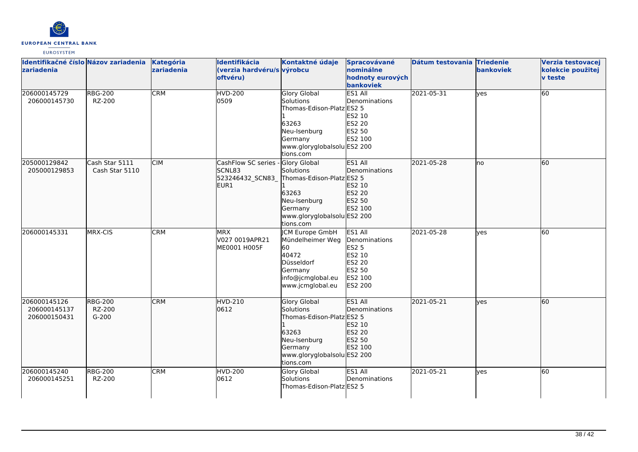

| Identifikačné číslo Názov zariadenia<br><b>zariadenia</b> |                                     | <b>Kategória</b><br>zariadenia | Identifikácia<br>(verzia hardvéru/s výrobcu<br>oftvéru)   | Kontaktné údaje                                                                                                                               | Spracovávané<br>nominálne<br>hodnoty eurových<br>bankoviek                                          | Dátum testovania Triedenie | bankoviek | Verzia testovacej<br>kolekcie použitej<br><b>v</b> teste |
|-----------------------------------------------------------|-------------------------------------|--------------------------------|-----------------------------------------------------------|-----------------------------------------------------------------------------------------------------------------------------------------------|-----------------------------------------------------------------------------------------------------|----------------------------|-----------|----------------------------------------------------------|
| 206000145729<br>206000145730                              | <b>RBG-200</b><br>RZ-200            | <b>CRM</b>                     | <b>HVD-200</b><br>0509                                    | <b>Glory Global</b><br>Solutions<br>Thomas-Edison-Platz ES2 5<br>63263<br>Neu-Isenburg<br>Germany<br>www.gloryglobalsolu ES2 200<br>tions.com | ES1 All<br>Denominations<br>ES2 10<br>ES2 20<br>ES2 50<br>ES2 100                                   | 2021-05-31                 | ves       | 60                                                       |
| 205000129842<br>205000129853                              | Cash Star 5111<br>Cash Star 5110    | <b>CIM</b>                     | CashFlow SC series -<br>SCNL83<br>523246432 SCN83<br>EUR1 | Glory Global<br>Solutions<br>Thomas-Edison-Platz ES2 5<br>63263<br>Neu-Isenburg<br>Germany<br>www.gloryglobalsolu ES2 200<br>tions.com        | ES1 All<br>Denominations<br>ES2 10<br>ES2 20<br>ES2 50<br>ES2 100                                   | 2021-05-28                 | no        | 60                                                       |
| 206000145331                                              | MRX-CIS                             | <b>CRM</b>                     | <b>MRX</b><br>V027 0019APR21<br>ME0001 H005F              | <b>CM Europe GmbH</b><br>Mündelheimer Weg<br>60<br>40472<br>Düsseldorf<br>Germany<br>info@jcmglobal.eu<br>www.jcmglobal.eu                    | ES1 All<br>Denominations<br><b>ES2 5</b><br>ES2 10<br>ES2 20<br>ES2 50<br>ES2 100<br><b>ES2 200</b> | 2021-05-28                 | ves       | 60                                                       |
| 206000145126<br>206000145137<br>206000150431              | <b>RBG-200</b><br>RZ-200<br>$G-200$ | <b>CRM</b>                     | HVD-210<br>0612                                           | <b>Glory Global</b><br>Solutions<br>Thomas-Edison-Platz ES2 5<br>63263<br>Neu-Isenburg<br>Germany<br>www.gloryglobalsolu ES2 200<br>tions.com | ES1 All<br>Denominations<br>ES2 10<br>ES2 20<br>ES2 50<br>ES2 100                                   | 2021-05-21                 | lyes      | 60                                                       |
| 206000145240<br>206000145251                              | <b>RBG-200</b><br>RZ-200            | <b>CRM</b>                     | <b>HVD-200</b><br>0612                                    | <b>Glory Global</b><br>Solutions<br>Thomas-Edison-Platz ES2 5                                                                                 | ES1 All<br>Denominations                                                                            | 2021-05-21                 | lves      | 60                                                       |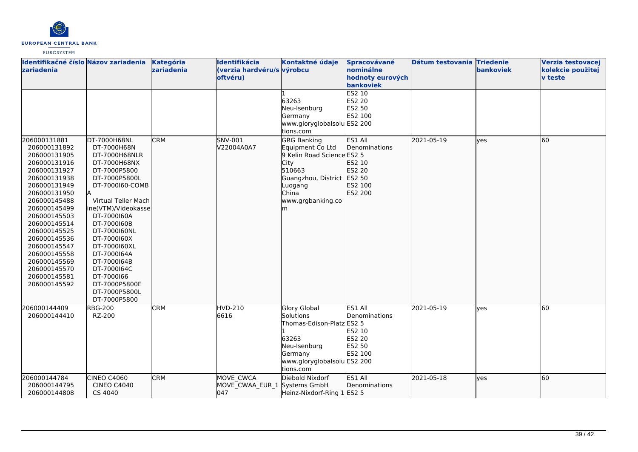

| Identifikačné číslo Názov zariadenia<br>zariadenia                                                                                                                                                                                                                                                                           |                                                                                                                                                                                                                                                                                                                                                          | Kategória<br>zariadenia | Identifikácia<br>(verzia hardvéru/s výrobcu<br>oftvéru) | Kontaktné údaje<br>63263<br>Neu-Isenburg<br>Germany<br>www.gloryglobalsolu ES2 200<br>tions.com                                                                    | Spracovávané<br>nominálne<br>hodnoty eurových<br>bankoviek<br>ES2 10<br><b>ES2 20</b><br>ES2 50<br>ES2 100 | Dátum testovania Triedenie | bankoviek | Verzia testovacej<br>kolekcie použitej<br>v teste |
|------------------------------------------------------------------------------------------------------------------------------------------------------------------------------------------------------------------------------------------------------------------------------------------------------------------------------|----------------------------------------------------------------------------------------------------------------------------------------------------------------------------------------------------------------------------------------------------------------------------------------------------------------------------------------------------------|-------------------------|---------------------------------------------------------|--------------------------------------------------------------------------------------------------------------------------------------------------------------------|------------------------------------------------------------------------------------------------------------|----------------------------|-----------|---------------------------------------------------|
| 206000131881<br>206000131892<br>206000131905<br>206000131916<br>206000131927<br>206000131938<br>206000131949<br>206000131950<br>206000145488<br>206000145499<br>206000145503<br>206000145514<br>206000145525<br>206000145536<br>206000145547<br>206000145558<br>206000145569<br>206000145570<br>206000145581<br>206000145592 | DT-7000H68NL<br>DT-7000H68N<br>DT-7000H68NLR<br>DT-7000H68NX<br>DT-7000P5800<br>DT-7000P5800L<br>DT-7000160-COMB<br>Virtual Teller Mach<br>ine(VTM)/Videokasse<br>DT-7000160A<br>DT-7000160B<br>DT-7000160NL<br>DT-7000160X<br>DT-7000160XL<br>DT-7000164A<br>DT-7000164B<br>DT-7000164C<br>DT-7000166<br>DT-7000P5800E<br>DT-7000P5800L<br>DT-7000P5800 | <b>CRM</b>              | SNV-001<br>V22004A0A7                                   | <b>GRG Banking</b><br>Equipment Co Ltd<br>9 Kelin Road Science ES2 5<br>City<br>510663<br>Guangzhou, District ES2 50<br>Luogang<br>China<br>www.grgbanking.co<br>m | ES1 All<br>Denominations<br>ES2 10<br>ES2 20<br>ES2 100<br>ES2 200                                         | 2021-05-19                 | ves       | 60                                                |
| 206000144409<br>206000144410                                                                                                                                                                                                                                                                                                 | <b>RBG-200</b><br>RZ-200                                                                                                                                                                                                                                                                                                                                 | <b>CRM</b>              | <b>HVD-210</b><br>6616                                  | <b>Glory Global</b><br>Solutions<br>Thomas-Edison-Platz ES2 5<br>63263<br>Neu-Isenburg<br>Germany<br>www.gloryglobalsolu ES2 200<br>tions.com                      | ES1 All<br>Denominations<br>ES2 10<br><b>ES2 20</b><br>ES2 50<br>ES2 100                                   | 2021-05-19                 | ves       | 60                                                |
| 206000144784<br>206000144795<br>206000144808                                                                                                                                                                                                                                                                                 | CINEO C4060<br><b>CINEO C4040</b><br>CS 4040                                                                                                                                                                                                                                                                                                             | <b>CRM</b>              | MOVE CWCA<br>MOVE_CWAA_EUR_1 Systems GmbH<br>047        | Diebold Nixdorf<br>Heinz-Nixdorf-Ring 1 ES2 5                                                                                                                      | ES1 All<br>Denominations                                                                                   | 2021-05-18                 | ves       | 60                                                |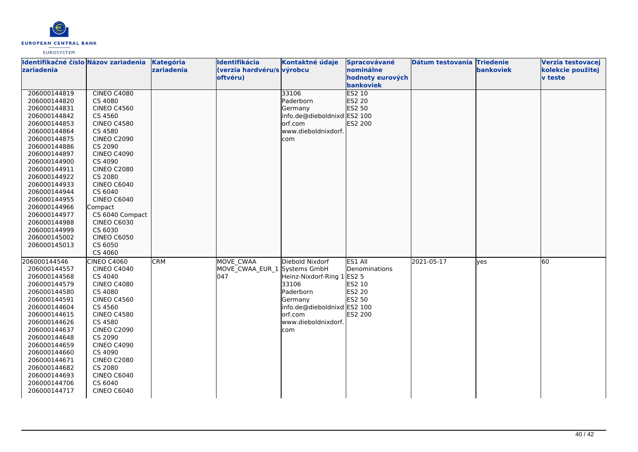

| Identifikačné číslo Názov zariadenia |                    | Kategória  | Identifikácia                | Kontaktné údaje             | Spracovávané     | Dátum testovania Triedenie |           | Verzia testovacej |
|--------------------------------------|--------------------|------------|------------------------------|-----------------------------|------------------|----------------------------|-----------|-------------------|
| <b>Izariadenia</b>                   |                    | zariadenia | (verzia hardvéru/s výrobcu   |                             | nominálne        |                            | bankoviek | kolekcie použitej |
|                                      |                    |            | oftvéru)                     |                             | hodnoty eurových |                            |           | v teste           |
|                                      |                    |            |                              |                             | bankoviek        |                            |           |                   |
| 206000144819                         | <b>CINEO C4080</b> |            |                              | 33106                       | <b>ES2 10</b>    |                            |           |                   |
| 206000144820                         | CS 4080            |            |                              | Paderborn                   | <b>ES2 20</b>    |                            |           |                   |
| 206000144831                         | <b>CINEO C4560</b> |            |                              | Germany                     | ES2 50           |                            |           |                   |
| 206000144842                         | CS 4560            |            |                              | info.de@dieboldnixd ES2 100 |                  |                            |           |                   |
| 206000144853                         | <b>CINEO C4580</b> |            |                              | orf.com                     | ES2 200          |                            |           |                   |
| 206000144864                         | CS 4580            |            |                              | www.dieboldnixdorf.         |                  |                            |           |                   |
| 206000144875                         | <b>CINEO C2090</b> |            |                              | com                         |                  |                            |           |                   |
| 206000144886                         | CS 2090            |            |                              |                             |                  |                            |           |                   |
| 206000144897                         | <b>CINEO C4090</b> |            |                              |                             |                  |                            |           |                   |
| 206000144900                         | CS 4090            |            |                              |                             |                  |                            |           |                   |
| 206000144911                         | <b>CINEO C2080</b> |            |                              |                             |                  |                            |           |                   |
| 206000144922                         | CS 2080            |            |                              |                             |                  |                            |           |                   |
| 206000144933                         | CINEO C6040        |            |                              |                             |                  |                            |           |                   |
| 206000144944                         | CS 6040            |            |                              |                             |                  |                            |           |                   |
| 206000144955                         | CINEO C6040        |            |                              |                             |                  |                            |           |                   |
| 206000144966                         | Compact            |            |                              |                             |                  |                            |           |                   |
| 206000144977                         | CS 6040 Compact    |            |                              |                             |                  |                            |           |                   |
| 206000144988                         | <b>CINEO C6030</b> |            |                              |                             |                  |                            |           |                   |
| 206000144999                         | CS 6030            |            |                              |                             |                  |                            |           |                   |
| 206000145002                         | <b>CINEO C6050</b> |            |                              |                             |                  |                            |           |                   |
| 206000145013                         | CS 6050            |            |                              |                             |                  |                            |           |                   |
|                                      | CS 4060            |            |                              |                             |                  |                            |           |                   |
| 206000144546                         | <b>CINEO C4060</b> | <b>CRM</b> | MOVE CWAA                    | Diebold Nixdorf             | ES1 All          | 2021-05-17                 | yes       | 60                |
| 206000144557                         | <b>CINEO C4040</b> |            | MOVE_CWAA_EUR_1 Systems GmbH |                             | Denominations    |                            |           |                   |
| 206000144568                         | CS 4040            |            | 047                          | Heinz-Nixdorf-Ring 1 ES2 5  |                  |                            |           |                   |
| 206000144579                         | <b>CINEO C4080</b> |            |                              | 33106                       | ES2 10           |                            |           |                   |
| 206000144580                         | CS 4080            |            |                              | Paderborn                   | <b>ES2 20</b>    |                            |           |                   |
| 206000144591                         | <b>CINEO C4560</b> |            |                              | Germany                     | ES2 50           |                            |           |                   |
| 206000144604                         | CS 4560            |            |                              | info.de@dieboldnixd ES2 100 |                  |                            |           |                   |
| 206000144615                         | <b>CINEO C4580</b> |            |                              | orf.com                     | ES2 200          |                            |           |                   |
| 206000144626                         | CS 4580            |            |                              | www.dieboldnixdorf.         |                  |                            |           |                   |
| 206000144637                         | <b>CINEO C2090</b> |            |                              | com                         |                  |                            |           |                   |
| 206000144648                         | CS 2090            |            |                              |                             |                  |                            |           |                   |
| 206000144659                         | <b>CINEO C4090</b> |            |                              |                             |                  |                            |           |                   |
| 206000144660                         | CS 4090            |            |                              |                             |                  |                            |           |                   |
| 206000144671                         | <b>CINEO C2080</b> |            |                              |                             |                  |                            |           |                   |
| 206000144682                         | CS 2080            |            |                              |                             |                  |                            |           |                   |
| 206000144693                         | CINEO C6040        |            |                              |                             |                  |                            |           |                   |
| 206000144706                         | CS 6040            |            |                              |                             |                  |                            |           |                   |
| 206000144717                         | <b>CINEO C6040</b> |            |                              |                             |                  |                            |           |                   |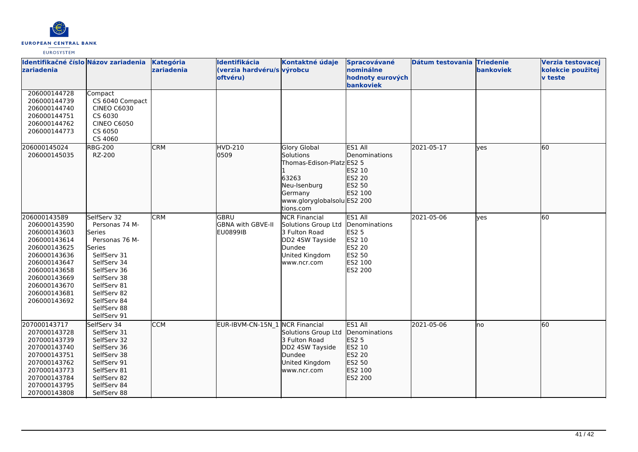

| Identifikačné číslo Názov zariadenia<br><b>zariadenia</b>                                                                                                                                    |                                                                                                                                                                                                            | Kategória<br>zariadenia | Identifikácia<br>(verzia hardvéru/s výrobcu<br>oftvéru) | Kontaktné údaje                                                                                                                               | Spracovávané<br>nominálne<br>hodnoty eurových<br>bankoviek                                          | Dátum testovania Triedenie | <b>bankoviek</b> | Verzia testovacej<br>kolekcie použitej<br><b>v</b> teste |
|----------------------------------------------------------------------------------------------------------------------------------------------------------------------------------------------|------------------------------------------------------------------------------------------------------------------------------------------------------------------------------------------------------------|-------------------------|---------------------------------------------------------|-----------------------------------------------------------------------------------------------------------------------------------------------|-----------------------------------------------------------------------------------------------------|----------------------------|------------------|----------------------------------------------------------|
| 206000144728<br>206000144739<br>206000144740<br>206000144751<br>206000144762<br>206000144773                                                                                                 | Compact<br>CS 6040 Compact<br><b>CINEO C6030</b><br>CS 6030<br><b>CINEO C6050</b><br>CS 6050<br>CS 4060                                                                                                    |                         |                                                         |                                                                                                                                               |                                                                                                     |                            |                  |                                                          |
| 206000145024<br>206000145035                                                                                                                                                                 | <b>RBG-200</b><br>RZ-200                                                                                                                                                                                   | <b>CRM</b>              | <b>HVD-210</b><br>0509                                  | <b>Glory Global</b><br>Solutions<br>Thomas-Edison-Platz ES2 5<br>63263<br>Neu-Isenburg<br>Germany<br>www.gloryglobalsolu ES2 200<br>tions.com | ES1 All<br>Denominations<br>ES2 10<br>ES2 20<br>ES2 50<br>ES2 100                                   | 2021-05-17                 | ves              | 60                                                       |
| 206000143589<br>206000143590<br>206000143603<br>206000143614<br>206000143625<br>206000143636<br>206000143647<br>206000143658<br>206000143669<br>206000143670<br>206000143681<br>206000143692 | SelfServ 32<br>Personas 74 M-<br>Series<br>Personas 76 M-<br>Series<br>SelfServ 31<br>SelfServ 34<br>SelfServ 36<br>SelfServ 38<br>SelfServ 81<br>SelfServ 82<br>SelfServ 84<br>SelfServ 88<br>SelfServ 91 | <b>CRM</b>              | GBRU<br><b>GBNA with GBVE-II</b><br>EU0899IB            | <b>NCR Financial</b><br>Solutions Group Ltd<br>3 Fulton Road<br>DD2 4SW Tayside<br>Dundee<br>United Kingdom<br>www.ncr.com                    | ES1 All<br>Denominations<br><b>ES2 5</b><br>ES2 10<br><b>ES2 20</b><br>ES2 50<br>ES2 100<br>ES2 200 | 2021-05-06                 | ves              | 60                                                       |
| 207000143717<br>207000143728<br>207000143739<br>207000143740<br>207000143751<br>207000143762<br>207000143773<br>207000143784<br>207000143795<br>207000143808                                 | SelfServ 34<br>SelfServ 31<br>SelfServ 32<br>SelfServ 36<br>SelfServ 38<br>SelfServ 91<br>SelfServ 81<br>SelfServ 82<br>SelfServ 84<br>SelfServ 88                                                         | <b>CCM</b>              | EUR-IBVM-CN-15N_1 NCR Financial                         | Solutions Group Ltd<br>3 Fulton Road<br>DD2 4SW Tayside<br>Dundee<br>United Kingdom<br>www.ncr.com                                            | ES1 All<br>Denominations<br>ES2 5<br>ES2 10<br>ES2 20<br>ES2 50<br>ES2 100<br>ES2 200               | 2021-05-06                 | lno              | 60                                                       |